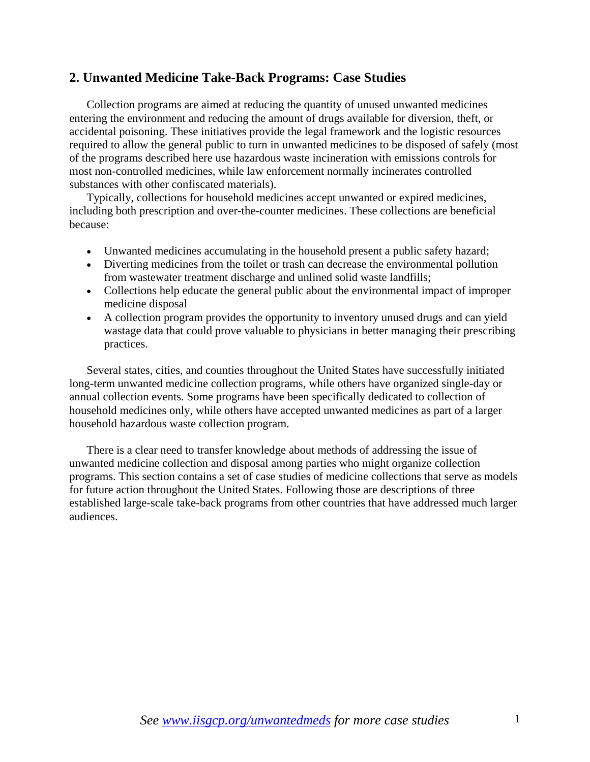### **2. Unwanted Medicine Take-Back Programs: Case Studies**

Collection programs are aimed at reducing the quantity of unused unwanted medicines entering the environment and reducing the amount of drugs available for diversion, theft, or accidental poisoning. These initiatives provide the legal framework and the logistic resources required to allow the general public to turn in unwanted medicines to be disposed of safely (most of the programs described here use hazardous waste incineration with emissions controls for most non-controlled medicines, while law enforcement normally incinerates controlled substances with other confiscated materials).

Typically, collections for household medicines accept unwanted or expired medicines, including both prescription and over-the-counter medicines. These collections are beneficial because:

- Unwanted medicines accumulating in the household present a public safety hazard;
- Diverting medicines from the toilet or trash can decrease the environmental pollution from wastewater treatment discharge and unlined solid waste landfills;
- Collections help educate the general public about the environmental impact of improper medicine disposal
- A collection program provides the opportunity to inventory unused drugs and can yield wastage data that could prove valuable to physicians in better managing their prescribing practices.

Several states, cities, and counties throughout the United States have successfully initiated long-term unwanted medicine collection programs, while others have organized single-day or annual collection events. Some programs have been specifically dedicated to collection of household medicines only, while others have accepted unwanted medicines as part of a larger household hazardous waste collection program.

There is a clear need to transfer knowledge about methods of addressing the issue of unwanted medicine collection and disposal among parties who might organize collection programs. This section contains a set of case studies of medicine collections that serve as models for future action throughout the United States. Following those are descriptions of three established large-scale take-back programs from other countries that have addressed much larger audiences.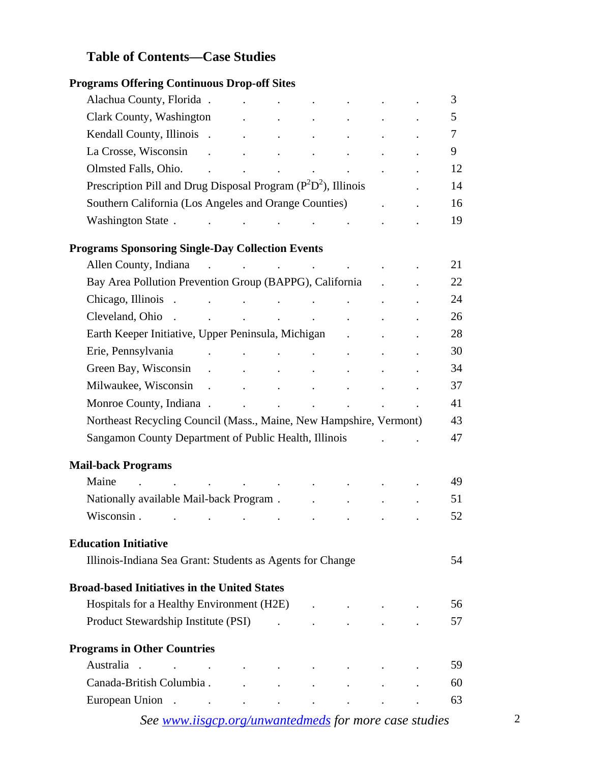# **Table of Contents—Case Studies**

| <b>Programs Offering Continuous Drop-off Sites</b>                                                                                                                                                                                                           |                                                                                        |                                            |                            |                            |        |
|--------------------------------------------------------------------------------------------------------------------------------------------------------------------------------------------------------------------------------------------------------------|----------------------------------------------------------------------------------------|--------------------------------------------|----------------------------|----------------------------|--------|
| Alachua County, Florida.                                                                                                                                                                                                                                     | <b>Contract Contract</b>                                                               |                                            | $\mathcal{L}^{\text{max}}$ |                            | 3      |
| Clark County, Washington Theorem 2014. The Clark County, Washington                                                                                                                                                                                          |                                                                                        |                                            |                            |                            | 5      |
|                                                                                                                                                                                                                                                              |                                                                                        |                                            |                            |                            | $\tau$ |
|                                                                                                                                                                                                                                                              |                                                                                        |                                            |                            |                            | 9      |
|                                                                                                                                                                                                                                                              |                                                                                        |                                            |                            |                            | 12     |
| Prescription Pill and Drug Disposal Program $(P^2D^2)$ , Illinois                                                                                                                                                                                            |                                                                                        |                                            |                            |                            | 14     |
| Southern California (Los Angeles and Orange Counties)                                                                                                                                                                                                        |                                                                                        |                                            |                            |                            | 16     |
| Washington State . The contract of the state of the state of the state of the state of the state of the state o                                                                                                                                              |                                                                                        |                                            |                            |                            | 19     |
| <b>Programs Sponsoring Single-Day Collection Events</b>                                                                                                                                                                                                      |                                                                                        |                                            |                            |                            |        |
| Allen County, Indiana                                                                                                                                                                                                                                        | $\mathcal{A}$ and $\mathcal{A}$ are all the set of the set of the set of $\mathcal{A}$ |                                            |                            |                            | 21     |
| Bay Area Pollution Prevention Group (BAPPG), California .                                                                                                                                                                                                    |                                                                                        |                                            |                            |                            | 22     |
|                                                                                                                                                                                                                                                              |                                                                                        |                                            |                            |                            | 24     |
|                                                                                                                                                                                                                                                              |                                                                                        |                                            |                            |                            | 26     |
| Earth Keeper Initiative, Upper Peninsula, Michigan                                                                                                                                                                                                           |                                                                                        |                                            |                            |                            | 28     |
| Erie, Pennsylvania<br>the contract of the contract of the contract of                                                                                                                                                                                        |                                                                                        |                                            |                            |                            | 30     |
|                                                                                                                                                                                                                                                              |                                                                                        |                                            |                            |                            | 34     |
|                                                                                                                                                                                                                                                              |                                                                                        |                                            |                            |                            | 37     |
| Monroe County, Indiana . The country of the country of the country of the country of the country of the country of the country of the country of the country of the country of the country of the country of the country of th                               |                                                                                        |                                            |                            |                            | 41     |
| Northeast Recycling Council (Mass., Maine, New Hampshire, Vermont)                                                                                                                                                                                           |                                                                                        |                                            |                            |                            | 43     |
| Sangamon County Department of Public Health, Illinois                                                                                                                                                                                                        |                                                                                        |                                            |                            | and the state of the state | 47     |
| <b>Mail-back Programs</b>                                                                                                                                                                                                                                    |                                                                                        |                                            |                            |                            |        |
| Maine<br>the contract of the contract of the contract of the                                                                                                                                                                                                 |                                                                                        |                                            |                            |                            | 49     |
| Nationally available Mail-back Program . The contract of the set of the Mail-back Program .                                                                                                                                                                  |                                                                                        |                                            |                            |                            | 51     |
| Wisconsin.<br>the contract of the contract of the contract of the contract of the contract of                                                                                                                                                                |                                                                                        |                                            |                            |                            | 52     |
| <b>Education Initiative</b>                                                                                                                                                                                                                                  |                                                                                        |                                            |                            |                            |        |
| Illinois-Indiana Sea Grant: Students as Agents for Change                                                                                                                                                                                                    |                                                                                        |                                            |                            |                            | 54     |
| <b>Broad-based Initiatives in the United States</b>                                                                                                                                                                                                          |                                                                                        |                                            |                            |                            |        |
| Hospitals for a Healthy Environment (H2E) .                                                                                                                                                                                                                  |                                                                                        |                                            |                            |                            | 56     |
| Product Stewardship Institute (PSI)                                                                                                                                                                                                                          |                                                                                        | $\mathbf{r}$ , $\mathbf{r}$ , $\mathbf{r}$ |                            |                            | 57     |
| <b>Programs in Other Countries</b>                                                                                                                                                                                                                           |                                                                                        |                                            |                            |                            |        |
| Australia                                                                                                                                                                                                                                                    |                                                                                        |                                            |                            |                            | 59     |
| Canada-British Columbia.                                                                                                                                                                                                                                     |                                                                                        | <b>All Contract Contract Contract</b>      |                            |                            | 60     |
| European Union.<br>$\mathcal{L}^{\mathcal{A}}$ . The contribution of the contribution of the contribution of the contribution of the contribution of the contribution of the contribution of the contribution of the contribution of the contribution of the |                                                                                        |                                            |                            |                            | 63     |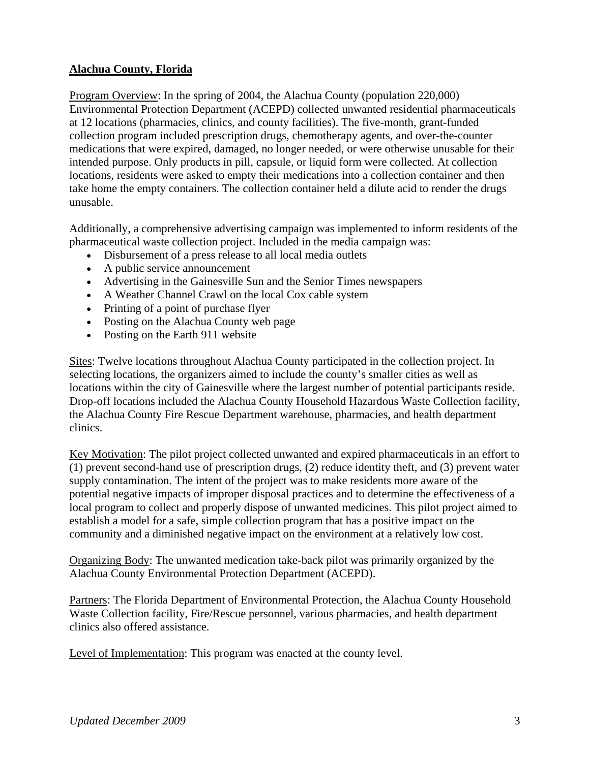### **Alachua County, Florida**

Program Overview: In the spring of 2004, the Alachua County (population 220,000) Environmental Protection Department (ACEPD) collected unwanted residential pharmaceuticals at 12 locations (pharmacies, clinics, and county facilities). The five-month, grant-funded collection program included prescription drugs, chemotherapy agents, and over-the-counter medications that were expired, damaged, no longer needed, or were otherwise unusable for their intended purpose. Only products in pill, capsule, or liquid form were collected. At collection locations, residents were asked to empty their medications into a collection container and then take home the empty containers. The collection container held a dilute acid to render the drugs unusable.

Additionally, a comprehensive advertising campaign was implemented to inform residents of the pharmaceutical waste collection project. Included in the media campaign was:

- Disbursement of a press release to all local media outlets
- A public service announcement
- Advertising in the Gainesville Sun and the Senior Times newspapers
- A Weather Channel Crawl on the local Cox cable system
- Printing of a point of purchase flyer
- Posting on the Alachua County web page
- Posting on the Earth 911 website

Sites: Twelve locations throughout Alachua County participated in the collection project. In selecting locations, the organizers aimed to include the county's smaller cities as well as locations within the city of Gainesville where the largest number of potential participants reside. Drop-off locations included the Alachua County Household Hazardous Waste Collection facility, the Alachua County Fire Rescue Department warehouse, pharmacies, and health department clinics.

Key Motivation: The pilot project collected unwanted and expired pharmaceuticals in an effort to (1) prevent second-hand use of prescription drugs, (2) reduce identity theft, and (3) prevent water supply contamination. The intent of the project was to make residents more aware of the potential negative impacts of improper disposal practices and to determine the effectiveness of a local program to collect and properly dispose of unwanted medicines. This pilot project aimed to establish a model for a safe, simple collection program that has a positive impact on the community and a diminished negative impact on the environment at a relatively low cost.

Organizing Body: The unwanted medication take-back pilot was primarily organized by the Alachua County Environmental Protection Department (ACEPD).

Partners: The Florida Department of Environmental Protection, the Alachua County Household Waste Collection facility, Fire/Rescue personnel, various pharmacies, and health department clinics also offered assistance.

Level of Implementation: This program was enacted at the county level.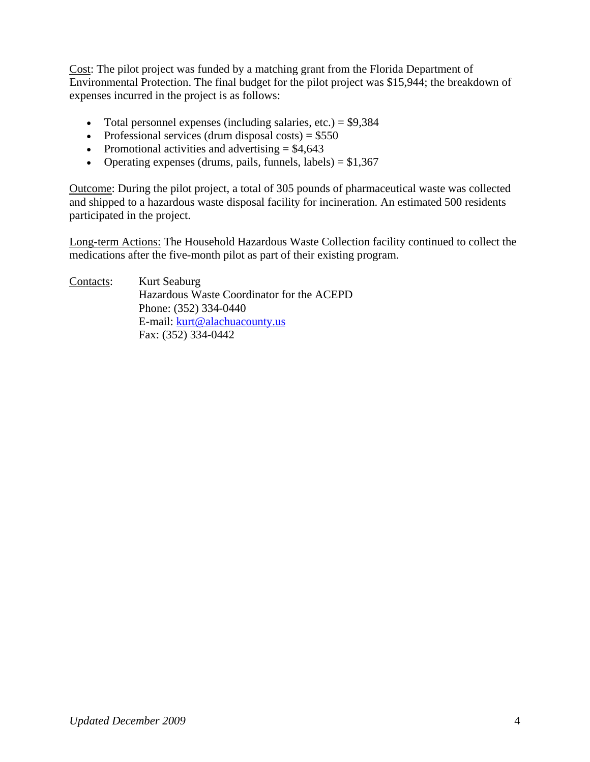Cost: The pilot project was funded by a matching grant from the Florida Department of Environmental Protection. The final budget for the pilot project was \$15,944; the breakdown of expenses incurred in the project is as follows:

- Total personnel expenses (including salaries, etc.)  $=$  \$9,384
- Professional services (drum disposal costs) =  $$550$
- Promotional activities and advertising  $= $4,643$
- Operating expenses (drums, pails, funnels, labels) =  $$1,367$

Outcome: During the pilot project, a total of 305 pounds of pharmaceutical waste was collected and shipped to a hazardous waste disposal facility for incineration. An estimated 500 residents participated in the project.

Long-term Actions: The Household Hazardous Waste Collection facility continued to collect the medications after the five-month pilot as part of their existing program.

| Contacts: | Kurt Seaburg                              |
|-----------|-------------------------------------------|
|           | Hazardous Waste Coordinator for the ACEPD |
|           | Phone: (352) 334-0440                     |
|           | E-mail: kurt@alachuacounty.us             |
|           | Fax: (352) 334-0442                       |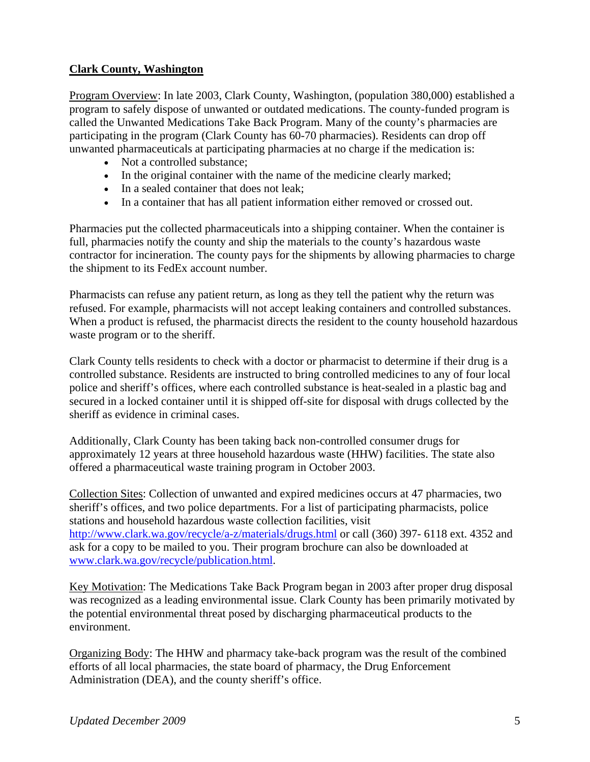### **Clark County, Washington**

Program Overview: In late 2003, Clark County, Washington, (population 380,000) established a program to safely dispose of unwanted or outdated medications. The county-funded program is called the Unwanted Medications Take Back Program. Many of the county's pharmacies are participating in the program (Clark County has 60-70 pharmacies). Residents can drop off unwanted pharmaceuticals at participating pharmacies at no charge if the medication is:

- Not a controlled substance:
- In the original container with the name of the medicine clearly marked;
- In a sealed container that does not leak;
- In a container that has all patient information either removed or crossed out.

Pharmacies put the collected pharmaceuticals into a shipping container. When the container is full, pharmacies notify the county and ship the materials to the county's hazardous waste contractor for incineration. The county pays for the shipments by allowing pharmacies to charge the shipment to its FedEx account number.

Pharmacists can refuse any patient return, as long as they tell the patient why the return was refused. For example, pharmacists will not accept leaking containers and controlled substances. When a product is refused, the pharmacist directs the resident to the county household hazardous waste program or to the sheriff.

Clark County tells residents to check with a doctor or pharmacist to determine if their drug is a controlled substance. Residents are instructed to bring controlled medicines to any of four local police and sheriff's offices, where each controlled substance is heat-sealed in a plastic bag and secured in a locked container until it is shipped off-site for disposal with drugs collected by the sheriff as evidence in criminal cases.

Additionally, Clark County has been taking back non-controlled consumer drugs for approximately 12 years at three household hazardous waste (HHW) facilities. The state also offered a pharmaceutical waste training program in October 2003.

Collection Sites: Collection of unwanted and expired medicines occurs at 47 pharmacies, two sheriff's offices, and two police departments. For a list of participating pharmacists, police stations and household hazardous waste collection facilities, visit http://www.clark.wa.gov/recycle/a-z/materials/drugs.html or call (360) 397- 6118 ext. 4352 and ask for a copy to be mailed to you. Their program brochure can also be downloaded at www.clark.wa.gov/recycle/publication.html.

Key Motivation: The Medications Take Back Program began in 2003 after proper drug disposal was recognized as a leading environmental issue. Clark County has been primarily motivated by the potential environmental threat posed by discharging pharmaceutical products to the environment.

Organizing Body: The HHW and pharmacy take-back program was the result of the combined efforts of all local pharmacies, the state board of pharmacy, the Drug Enforcement Administration (DEA), and the county sheriff's office.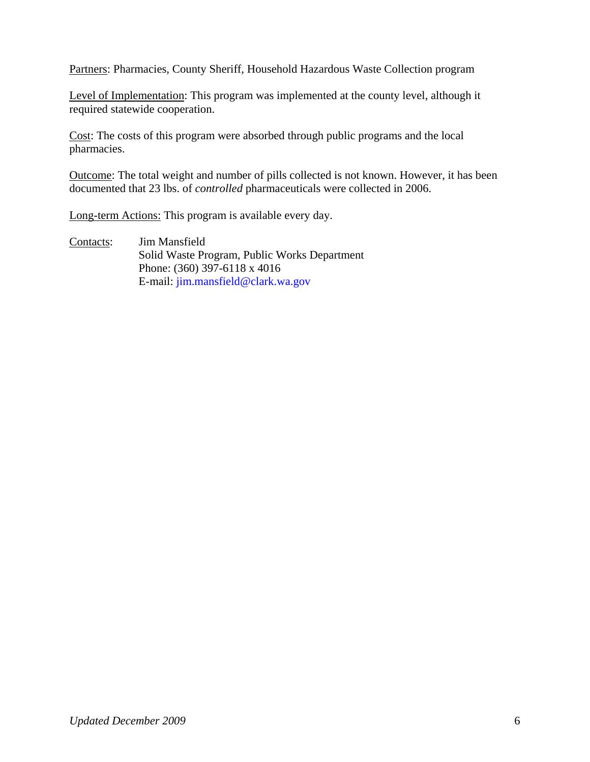Partners: Pharmacies, County Sheriff, Household Hazardous Waste Collection program

Level of Implementation: This program was implemented at the county level, although it required statewide cooperation.

Cost: The costs of this program were absorbed through public programs and the local pharmacies.

Outcome: The total weight and number of pills collected is not known. However, it has been documented that 23 lbs. of *controlled* pharmaceuticals were collected in 2006.

Long-term Actions: This program is available every day.

Contacts: Jim Mansfield Solid Waste Program, Public Works Department Phone: (360) 397-6118 x 4016 E-mail: jim.mansfield@clark.wa.gov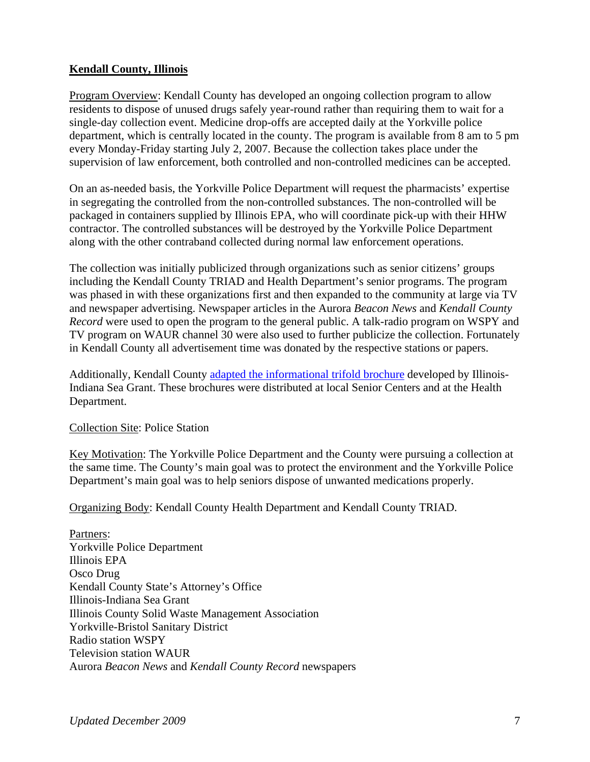### **Kendall County, Illinois**

Program Overview: Kendall County has developed an ongoing collection program to allow residents to dispose of unused drugs safely year-round rather than requiring them to wait for a single-day collection event. Medicine drop-offs are accepted daily at the Yorkville police department, which is centrally located in the county. The program is available from 8 am to 5 pm every Monday-Friday starting July 2, 2007. Because the collection takes place under the supervision of law enforcement, both controlled and non-controlled medicines can be accepted.

On an as-needed basis, the Yorkville Police Department will request the pharmacists' expertise in segregating the controlled from the non-controlled substances. The non-controlled will be packaged in containers supplied by Illinois EPA, who will coordinate pick-up with their HHW contractor. The controlled substances will be destroyed by the Yorkville Police Department along with the other contraband collected during normal law enforcement operations.

The collection was initially publicized through organizations such as senior citizens' groups including the Kendall County TRIAD and Health Department's senior programs. The program was phased in with these organizations first and then expanded to the community at large via TV and newspaper advertising. Newspaper articles in the Aurora *Beacon News* and *Kendall County Record* were used to open the program to the general public. A talk-radio program on WSPY and TV program on WAUR channel 30 were also used to further publicize the collection. Fortunately in Kendall County all advertisement time was donated by the respective stations or papers.

Additionally, Kendall County adapted the informational trifold brochure developed by Illinois-Indiana Sea Grant. These brochures were distributed at local Senior Centers and at the Health Department.

Collection Site: Police Station

Key Motivation: The Yorkville Police Department and the County were pursuing a collection at the same time. The County's main goal was to protect the environment and the Yorkville Police Department's main goal was to help seniors dispose of unwanted medications properly.

Organizing Body: Kendall County Health Department and Kendall County TRIAD.

Partners: Yorkville Police Department Illinois EPA Osco Drug Kendall County State's Attorney's Office Illinois-Indiana Sea Grant Illinois County Solid Waste Management Association Yorkville-Bristol Sanitary District Radio station WSPY Television station WAUR Aurora *Beacon News* and *Kendall County Record* newspapers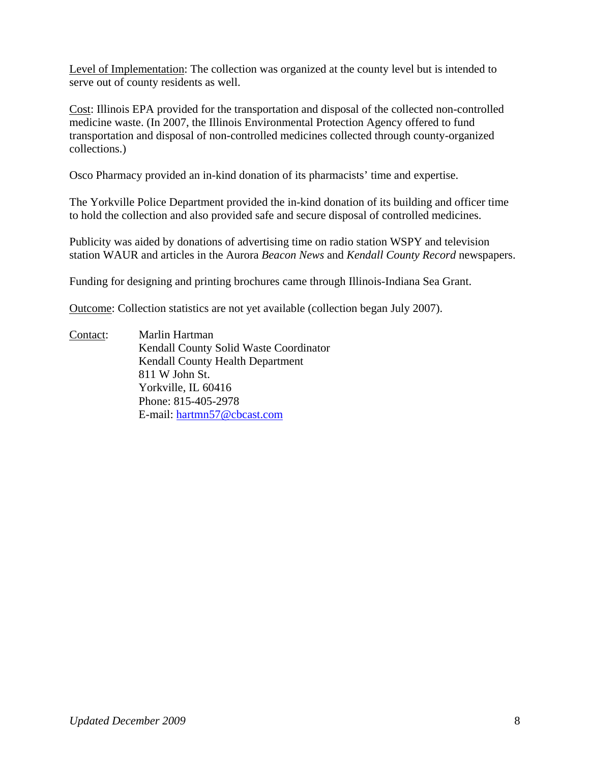Level of Implementation: The collection was organized at the county level but is intended to serve out of county residents as well.

Cost: Illinois EPA provided for the transportation and disposal of the collected non-controlled medicine waste. (In 2007, the Illinois Environmental Protection Agency offered to fund transportation and disposal of non-controlled medicines collected through county-organized collections.)

Osco Pharmacy provided an in-kind donation of its pharmacists' time and expertise.

The Yorkville Police Department provided the in-kind donation of its building and officer time to hold the collection and also provided safe and secure disposal of controlled medicines.

Publicity was aided by donations of advertising time on radio station WSPY and television station WAUR and articles in the Aurora *Beacon News* and *Kendall County Record* newspapers.

Funding for designing and printing brochures came through Illinois-Indiana Sea Grant.

Outcome: Collection statistics are not yet available (collection began July 2007).

Contact: Marlin Hartman Kendall County Solid Waste Coordinator Kendall County Health Department 811 W John St. Yorkville, IL 60416 Phone: 815-405-2978 E-mail: hartmn57@cbcast.com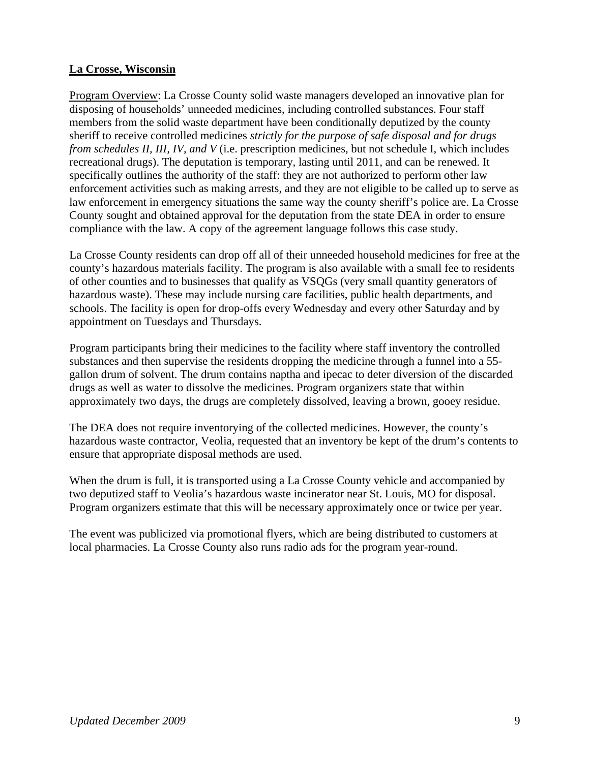#### **La Crosse, Wisconsin**

Program Overview: La Crosse County solid waste managers developed an innovative plan for disposing of households' unneeded medicines, including controlled substances. Four staff members from the solid waste department have been conditionally deputized by the county sheriff to receive controlled medicines *strictly for the purpose of safe disposal and for drugs from schedules II, III, IV, and V* (i.e. prescription medicines, but not schedule I, which includes recreational drugs). The deputation is temporary, lasting until 2011, and can be renewed. It specifically outlines the authority of the staff: they are not authorized to perform other law enforcement activities such as making arrests, and they are not eligible to be called up to serve as law enforcement in emergency situations the same way the county sheriff's police are. La Crosse County sought and obtained approval for the deputation from the state DEA in order to ensure compliance with the law. A copy of the agreement language follows this case study.

La Crosse County residents can drop off all of their unneeded household medicines for free at the county's hazardous materials facility. The program is also available with a small fee to residents of other counties and to businesses that qualify as VSQGs (very small quantity generators of hazardous waste). These may include nursing care facilities, public health departments, and schools. The facility is open for drop-offs every Wednesday and every other Saturday and by appointment on Tuesdays and Thursdays.

Program participants bring their medicines to the facility where staff inventory the controlled substances and then supervise the residents dropping the medicine through a funnel into a 55 gallon drum of solvent. The drum contains naptha and ipecac to deter diversion of the discarded drugs as well as water to dissolve the medicines. Program organizers state that within approximately two days, the drugs are completely dissolved, leaving a brown, gooey residue.

The DEA does not require inventorying of the collected medicines. However, the county's hazardous waste contractor, Veolia, requested that an inventory be kept of the drum's contents to ensure that appropriate disposal methods are used.

When the drum is full, it is transported using a La Crosse County vehicle and accompanied by two deputized staff to Veolia's hazardous waste incinerator near St. Louis, MO for disposal. Program organizers estimate that this will be necessary approximately once or twice per year.

The event was publicized via promotional flyers, which are being distributed to customers at local pharmacies. La Crosse County also runs radio ads for the program year-round.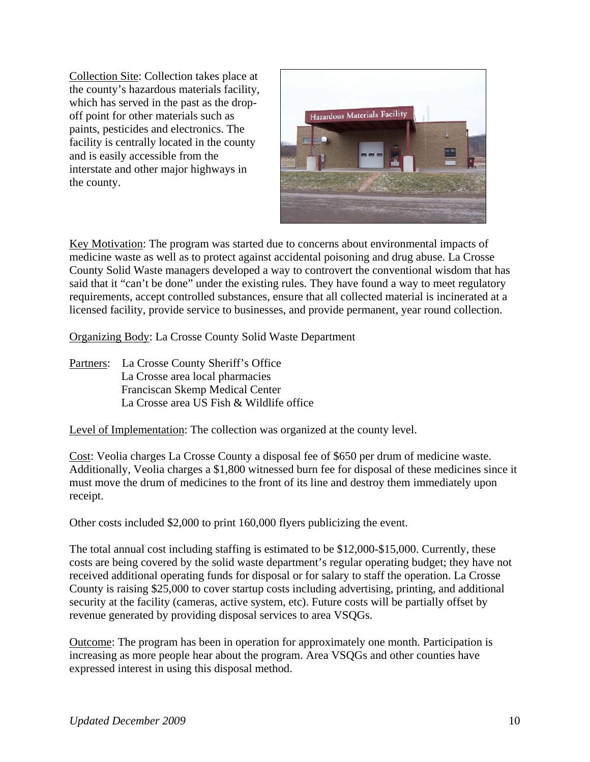Collection Site: Collection takes place at the county's hazardous materials facility, which has served in the past as the dropoff point for other materials such as paints, pesticides and electronics. The facility is centrally located in the county and is easily accessible from the interstate and other major highways in the county.



Key Motivation: The program was started due to concerns about environmental impacts of medicine waste as well as to protect against accidental poisoning and drug abuse. La Crosse County Solid Waste managers developed a way to controvert the conventional wisdom that has said that it "can't be done" under the existing rules. They have found a way to meet regulatory requirements, accept controlled substances, ensure that all collected material is incinerated at a licensed facility, provide service to businesses, and provide permanent, year round collection.

Organizing Body: La Crosse County Solid Waste Department

Partners: La Crosse County Sheriff's Office La Crosse area local pharmacies Franciscan Skemp Medical Center La Crosse area US Fish & Wildlife office

Level of Implementation: The collection was organized at the county level.

Cost: Veolia charges La Crosse County a disposal fee of \$650 per drum of medicine waste. Additionally, Veolia charges a \$1,800 witnessed burn fee for disposal of these medicines since it must move the drum of medicines to the front of its line and destroy them immediately upon receipt.

Other costs included \$2,000 to print 160,000 flyers publicizing the event.

The total annual cost including staffing is estimated to be \$12,000-\$15,000. Currently, these costs are being covered by the solid waste department's regular operating budget; they have not received additional operating funds for disposal or for salary to staff the operation. La Crosse County is raising \$25,000 to cover startup costs including advertising, printing, and additional security at the facility (cameras, active system, etc). Future costs will be partially offset by revenue generated by providing disposal services to area VSQGs.

Outcome: The program has been in operation for approximately one month. Participation is increasing as more people hear about the program. Area VSQGs and other counties have expressed interest in using this disposal method.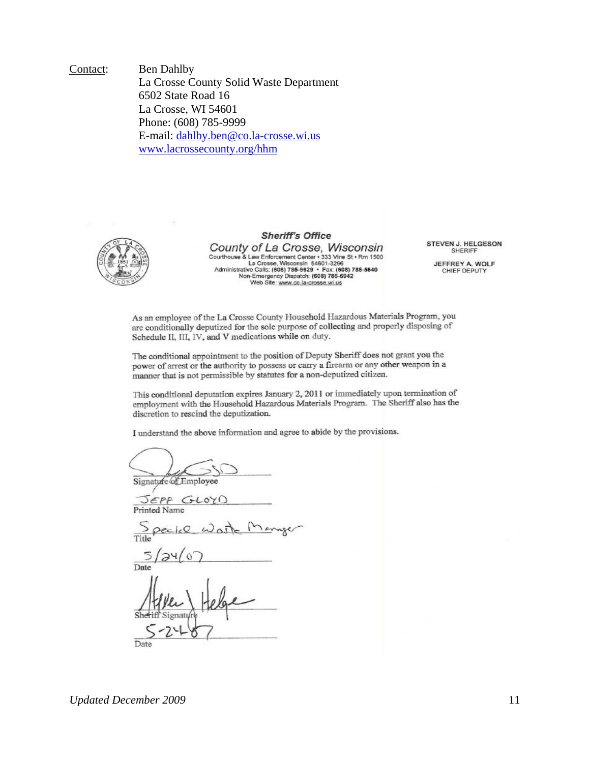Contact: Ben Dahlby La Crosse County Solid Waste Department 6502 State Road 16 La Crosse, WI 54601 Phone: (608) 785-9999 E-mail: dahlby.ben@co.la-crosse.wi.us www.lacrossecounty.org/hhm



#### **Sheriff's Office**

County of La Crosse, Wisconsin Courthouse & Law Enforcement Center + 333 Vine St + Rm 1500<br>Courthouse & Law Enforcement Center + 333 Vine St + Rm 1500<br>La Crosse, Wisconsin 54601-3296<br>Mon-Emergency Dispatch: (608) 785-5942<br>Web Site: www.co.la-crosse.wi.u STEVEN J. HELGESON SHERIFF

JEFFREY A. WOLF<br>CHIEF DEPUTY

As an employee of the La Crosse County Household Hazardous Materials Program, you are conditionally deputized for the sole purpose of collecting and properly disposing of Schedule II, III, IV, and V medications while on duty.

The conditional appointment to the position of Deputy Sheriff does not grant you the power of arrest or the authority to possess or carry a firearm or any other weapon in a manner that is not permissible by statutes for a non-deputized citizen.

This conditional deputation expires January 2, 2011 or immediately upon termination of employment with the Household Hazardous Materials Program. The Sheriff also has the discretion to rescind the deputization.

I understand the above information and agree to abide by the provisions.

Signature of Employee

JEFF GLOYI Printed Name

 $\geq$ 

Date

Date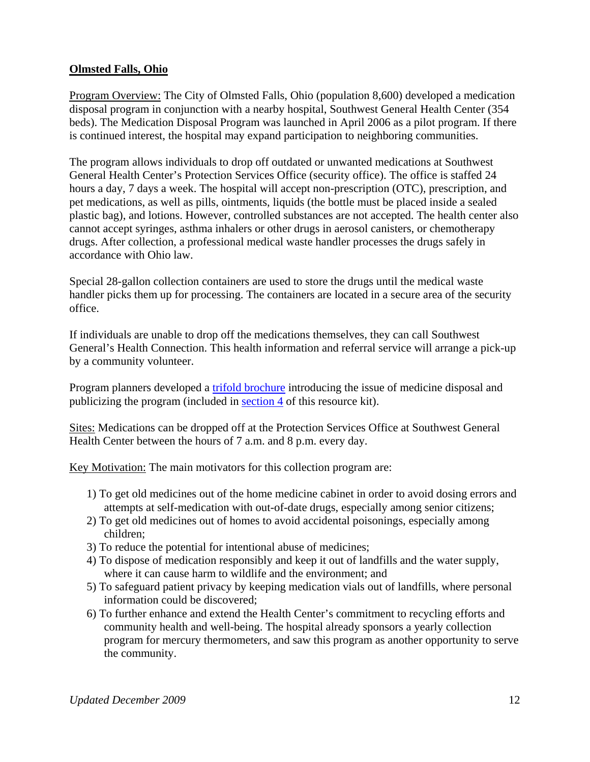#### **Olmsted Falls, Ohio**

Program Overview: The City of Olmsted Falls, Ohio (population 8,600) developed a medication disposal program in conjunction with a nearby hospital, Southwest General Health Center (354 beds). The Medication Disposal Program was launched in April 2006 as a pilot program. If there is continued interest, the hospital may expand participation to neighboring communities.

The program allows individuals to drop off outdated or unwanted medications at Southwest General Health Center's Protection Services Office (security office). The office is staffed 24 hours a day, 7 days a week. The hospital will accept non-prescription (OTC), prescription, and pet medications, as well as pills, ointments, liquids (the bottle must be placed inside a sealed plastic bag), and lotions. However, controlled substances are not accepted. The health center also cannot accept syringes, asthma inhalers or other drugs in aerosol canisters, or chemotherapy drugs. After collection, a professional medical waste handler processes the drugs safely in accordance with Ohio law.

Special 28-gallon collection containers are used to store the drugs until the medical waste handler picks them up for processing. The containers are located in a secure area of the security office.

If individuals are unable to drop off the medications themselves, they can call Southwest General's Health Connection. This health information and referral service will arrange a pick-up by a community volunteer.

Program planners developed a trifold brochure introducing the issue of medicine disposal and publicizing the program (included in section 4 of this resource kit).

Sites: Medications can be dropped off at the Protection Services Office at Southwest General Health Center between the hours of 7 a.m. and 8 p.m. every day.

Key Motivation: The main motivators for this collection program are:

- 1) To get old medicines out of the home medicine cabinet in order to avoid dosing errors and attempts at self-medication with out-of-date drugs, especially among senior citizens;
- 2) To get old medicines out of homes to avoid accidental poisonings, especially among children;
- 3) To reduce the potential for intentional abuse of medicines;
- 4) To dispose of medication responsibly and keep it out of landfills and the water supply, where it can cause harm to wildlife and the environment; and
- 5) To safeguard patient privacy by keeping medication vials out of landfills, where personal information could be discovered;
- 6) To further enhance and extend the Health Center's commitment to recycling efforts and community health and well-being. The hospital already sponsors a yearly collection program for mercury thermometers, and saw this program as another opportunity to serve the community.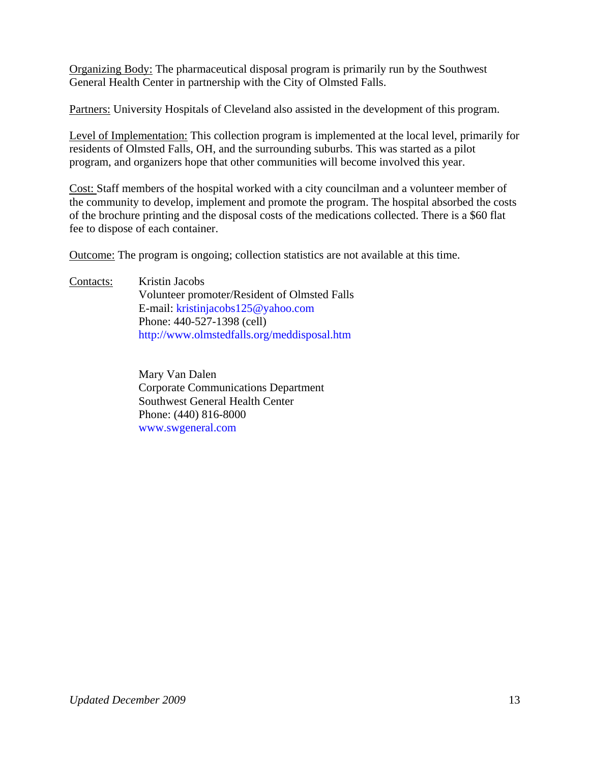Organizing Body: The pharmaceutical disposal program is primarily run by the Southwest General Health Center in partnership with the City of Olmsted Falls.

Partners: University Hospitals of Cleveland also assisted in the development of this program.

Level of Implementation: This collection program is implemented at the local level, primarily for residents of Olmsted Falls, OH, and the surrounding suburbs. This was started as a pilot program, and organizers hope that other communities will become involved this year.

Cost: Staff members of the hospital worked with a city councilman and a volunteer member of the community to develop, implement and promote the program. The hospital absorbed the costs of the brochure printing and the disposal costs of the medications collected. There is a \$60 flat fee to dispose of each container.

Outcome: The program is ongoing; collection statistics are not available at this time.

Contacts: Kristin Jacobs Volunteer promoter/Resident of Olmsted Falls E-mail: kristinjacobs125@yahoo.com Phone: 440-527-1398 (cell) http://www.olmstedfalls.org/meddisposal.htm

> Mary Van Dalen Corporate Communications Department Southwest General Health Center Phone: (440) 816-8000 www.swgeneral.com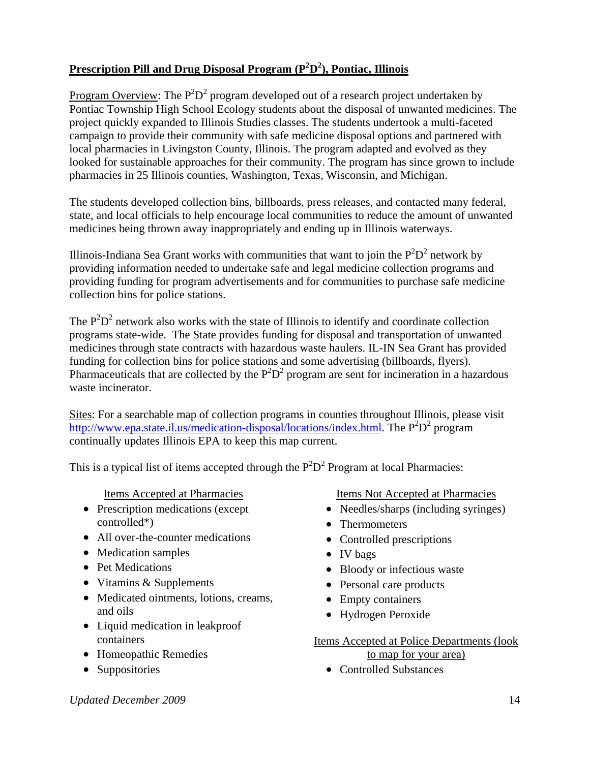## **Prescription Pill and Drug Disposal Program (P2 D2 ), Pontiac, Illinois**

Program Overview: The  $P^2D^2$  program developed out of a research project undertaken by Pontiac Township High School Ecology students about the disposal of unwanted medicines. The project quickly expanded to Illinois Studies classes. The students undertook a multi-faceted campaign to provide their community with safe medicine disposal options and partnered with local pharmacies in Livingston County, Illinois. The program adapted and evolved as they looked for sustainable approaches for their community. The program has since grown to include pharmacies in 25 Illinois counties, Washington, Texas, Wisconsin, and Michigan.

The students developed collection bins, billboards, press releases, and contacted many federal, state, and local officials to help encourage local communities to reduce the amount of unwanted medicines being thrown away inappropriately and ending up in Illinois waterways.

Illinois-Indiana Sea Grant works with communities that want to join the  $P^2D^2$  network by providing information needed to undertake safe and legal medicine collection programs and providing funding for program advertisements and for communities to purchase safe medicine collection bins for police stations.

The  $P^2D^2$  network also works with the state of Illinois to identify and coordinate collection programs state-wide. The State provides funding for disposal and transportation of unwanted medicines through state contracts with hazardous waste haulers. IL-IN Sea Grant has provided funding for collection bins for police stations and some advertising (billboards, flyers). Pharmaceuticals that are collected by the  $P^2D^2$  program are sent for incineration in a hazardous waste incinerator.

Sites: For a searchable map of collection programs in counties throughout Illinois, please visit http://www.epa.state.il.us/medication-disposal/locations/index.html. The  $P^2D^2$  program continually updates Illinois EPA to keep this map current.

This is a typical list of items accepted through the  $P^2D^2$  Program at local Pharmacies:

Items Accepted at Pharmacies

- Prescription medications (except controlled\*)
- All over-the-counter medications
- Medication samples
- Pet Medications
- Vitamins & Supplements
- Medicated ointments, lotions, creams, and oils
- Liquid medication in leakproof containers
- Homeopathic Remedies
- Suppositories

Items Not Accepted at Pharmacies

- Needles/sharps (including syringes)
- Thermometers
- Controlled prescriptions
- IV bags
- Bloody or infectious waste
- Personal care products
- Empty containers
- Hydrogen Peroxide

Items Accepted at Police Departments (look to map for your area)

• Controlled Substances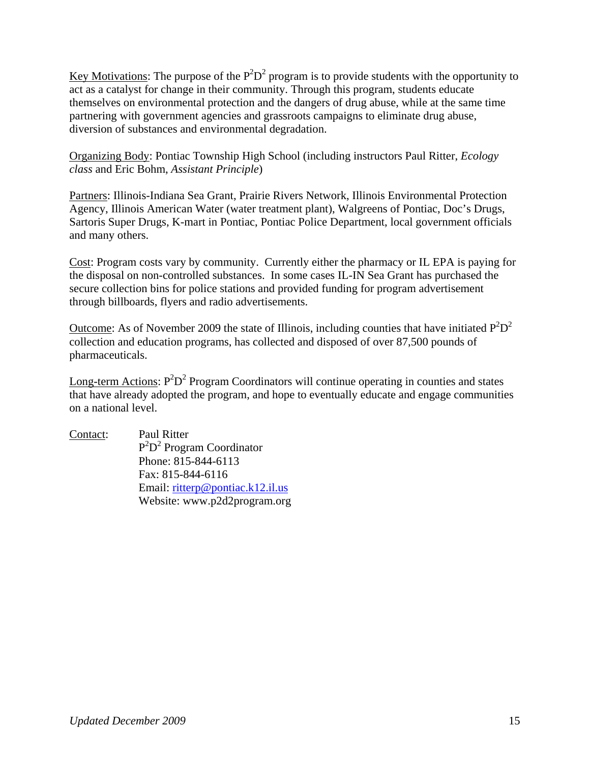Key Motivations: The purpose of the  $P^2D^2$  program is to provide students with the opportunity to act as a catalyst for change in their community. Through this program, students educate themselves on environmental protection and the dangers of drug abuse, while at the same time partnering with government agencies and grassroots campaigns to eliminate drug abuse, diversion of substances and environmental degradation.

Organizing Body: Pontiac Township High School (including instructors Paul Ritter, *Ecology class* and Eric Bohm, *Assistant Principle*)

Partners: Illinois-Indiana Sea Grant, Prairie Rivers Network, Illinois Environmental Protection Agency, Illinois American Water (water treatment plant), Walgreens of Pontiac, Doc's Drugs, Sartoris Super Drugs, K-mart in Pontiac, Pontiac Police Department, local government officials and many others.

Cost: Program costs vary by community. Currently either the pharmacy or IL EPA is paying for the disposal on non-controlled substances. In some cases IL-IN Sea Grant has purchased the secure collection bins for police stations and provided funding for program advertisement through billboards, flyers and radio advertisements.

Outcome: As of November 2009 the state of Illinois, including counties that have initiated  $P^2D^2$ collection and education programs, has collected and disposed of over 87,500 pounds of pharmaceuticals.

Long-term Actions:  $P^2D^2$  Program Coordinators will continue operating in counties and states that have already adopted the program, and hope to eventually educate and engage communities on a national level.

Contact: Paul Ritter P<sup>2</sup>D<sup>2</sup> Program Coordinator Phone: 815-844-6113 Fax: 815-844-6116 Email: ritterp@pontiac.k12.il.us Website: www.p2d2program.org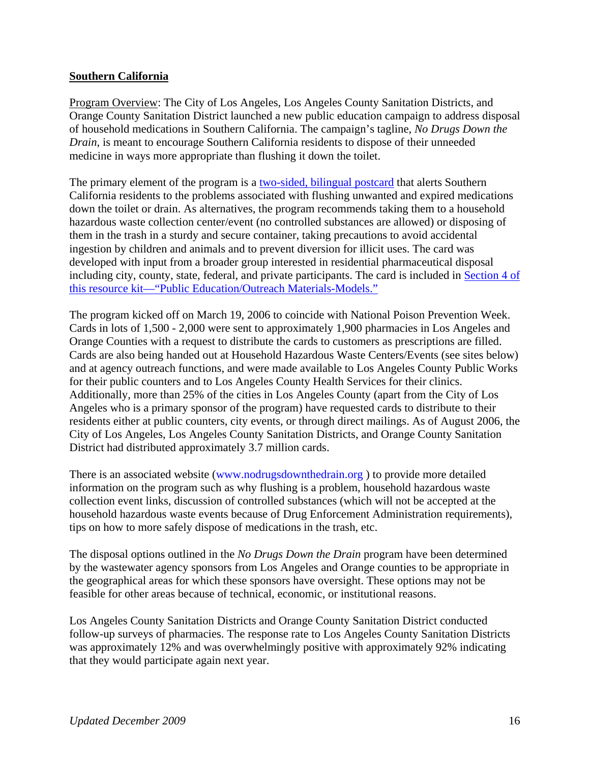#### **Southern California**

Program Overview: The City of Los Angeles, Los Angeles County Sanitation Districts, and Orange County Sanitation District launched a new public education campaign to address disposal of household medications in Southern California. The campaign's tagline, *No Drugs Down the Drain*, is meant to encourage Southern California residents to dispose of their unneeded medicine in ways more appropriate than flushing it down the toilet.

The primary element of the program is a two-sided, bilingual postcard that alerts Southern California residents to the problems associated with flushing unwanted and expired medications down the toilet or drain. As alternatives, the program recommends taking them to a household hazardous waste collection center/event (no controlled substances are allowed) or disposing of them in the trash in a sturdy and secure container, taking precautions to avoid accidental ingestion by children and animals and to prevent diversion for illicit uses. The card was developed with input from a broader group interested in residential pharmaceutical disposal including city, county, state, federal, and private participants. The card is included in Section 4 of this resource kit—"Public Education/Outreach Materials-Models."

The program kicked off on March 19, 2006 to coincide with National Poison Prevention Week. Cards in lots of 1,500 - 2,000 were sent to approximately 1,900 pharmacies in Los Angeles and Orange Counties with a request to distribute the cards to customers as prescriptions are filled. Cards are also being handed out at Household Hazardous Waste Centers/Events (see sites below) and at agency outreach functions, and were made available to Los Angeles County Public Works for their public counters and to Los Angeles County Health Services for their clinics. Additionally, more than 25% of the cities in Los Angeles County (apart from the City of Los Angeles who is a primary sponsor of the program) have requested cards to distribute to their residents either at public counters, city events, or through direct mailings. As of August 2006, the City of Los Angeles, Los Angeles County Sanitation Districts, and Orange County Sanitation District had distributed approximately 3.7 million cards.

There is an associated website (www.nodrugsdownthedrain.org ) to provide more detailed information on the program such as why flushing is a problem, household hazardous waste collection event links, discussion of controlled substances (which will not be accepted at the household hazardous waste events because of Drug Enforcement Administration requirements), tips on how to more safely dispose of medications in the trash, etc.

The disposal options outlined in the *No Drugs Down the Drain* program have been determined by the wastewater agency sponsors from Los Angeles and Orange counties to be appropriate in the geographical areas for which these sponsors have oversight. These options may not be feasible for other areas because of technical, economic, or institutional reasons.

Los Angeles County Sanitation Districts and Orange County Sanitation District conducted follow-up surveys of pharmacies. The response rate to Los Angeles County Sanitation Districts was approximately 12% and was overwhelmingly positive with approximately 92% indicating that they would participate again next year.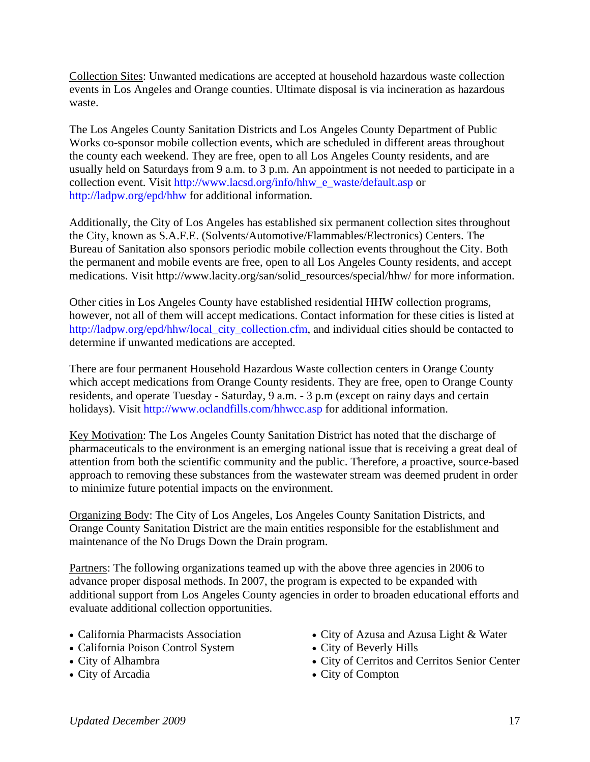Collection Sites: Unwanted medications are accepted at household hazardous waste collection events in Los Angeles and Orange counties. Ultimate disposal is via incineration as hazardous waste.

The Los Angeles County Sanitation Districts and Los Angeles County Department of Public Works co-sponsor mobile collection events, which are scheduled in different areas throughout the county each weekend. They are free, open to all Los Angeles County residents, and are usually held on Saturdays from 9 a.m. to 3 p.m. An appointment is not needed to participate in a collection event. Visit http://www.lacsd.org/info/hhw\_e\_waste/default.asp or http://ladpw.org/epd/hhw for additional information.

Additionally, the City of Los Angeles has established six permanent collection sites throughout the City, known as S.A.F.E. (Solvents/Automotive/Flammables/Electronics) Centers. The Bureau of Sanitation also sponsors periodic mobile collection events throughout the City. Both the permanent and mobile events are free, open to all Los Angeles County residents, and accept medications. Visit http://www.lacity.org/san/solid\_resources/special/hhw/ for more information.

Other cities in Los Angeles County have established residential HHW collection programs, however, not all of them will accept medications. Contact information for these cities is listed at http://ladpw.org/epd/hhw/local\_city\_collection.cfm, and individual cities should be contacted to determine if unwanted medications are accepted.

There are four permanent Household Hazardous Waste collection centers in Orange County which accept medications from Orange County residents. They are free, open to Orange County residents, and operate Tuesday - Saturday, 9 a.m. - 3 p.m (except on rainy days and certain holidays). Visit http://www.oclandfills.com/hhwcc.asp for additional information.

Key Motivation: The Los Angeles County Sanitation District has noted that the discharge of pharmaceuticals to the environment is an emerging national issue that is receiving a great deal of attention from both the scientific community and the public. Therefore, a proactive, source-based approach to removing these substances from the wastewater stream was deemed prudent in order to minimize future potential impacts on the environment.

Organizing Body: The City of Los Angeles, Los Angeles County Sanitation Districts, and Orange County Sanitation District are the main entities responsible for the establishment and maintenance of the No Drugs Down the Drain program.

Partners: The following organizations teamed up with the above three agencies in 2006 to advance proper disposal methods. In 2007, the program is expected to be expanded with additional support from Los Angeles County agencies in order to broaden educational efforts and evaluate additional collection opportunities.

- California Pharmacists Association
- California Poison Control System
- City of Alhambra
- City of Arcadia
- City of Azusa and Azusa Light & Water
- City of Beverly Hills
- City of Cerritos and Cerritos Senior Center
- City of Compton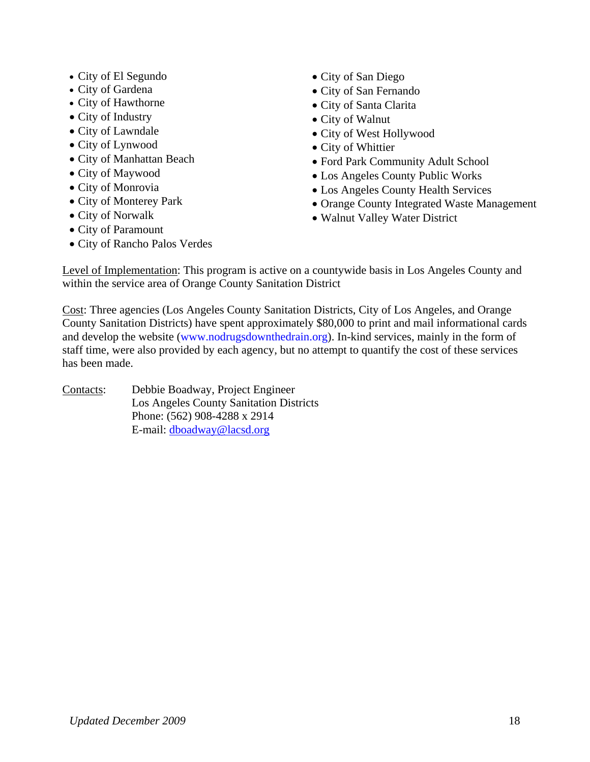- City of El Segundo
- City of Gardena
- City of Hawthorne
- City of Industry
- City of Lawndale
- City of Lynwood
- City of Manhattan Beach
- City of Maywood
- City of Monrovia
- City of Monterey Park
- City of Norwalk
- City of Paramount
- City of Rancho Palos Verdes
- City of San Diego
- City of San Fernando
- City of Santa Clarita
- City of Walnut
- City of West Hollywood
- City of Whittier
- Ford Park Community Adult School
- Los Angeles County Public Works
- Los Angeles County Health Services
- Orange County Integrated Waste Management
- Walnut Valley Water District

Level of Implementation: This program is active on a countywide basis in Los Angeles County and within the service area of Orange County Sanitation District

Cost: Three agencies (Los Angeles County Sanitation Districts, City of Los Angeles, and Orange County Sanitation Districts) have spent approximately \$80,000 to print and mail informational cards and develop the website (www.nodrugsdownthedrain.org). In-kind services, mainly in the form of staff time, were also provided by each agency, but no attempt to quantify the cost of these services has been made.

Contacts: Debbie Boadway, Project Engineer Los Angeles County Sanitation Districts Phone: (562) 908-4288 x 2914 E-mail: dboadway@lacsd.org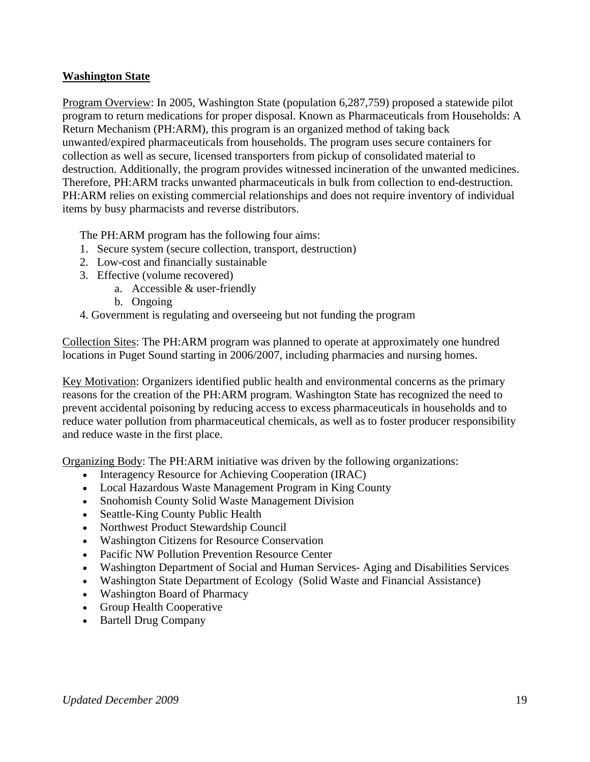#### **Washington State**

Program Overview: In 2005, Washington State (population 6,287,759) proposed a statewide pilot program to return medications for proper disposal. Known as Pharmaceuticals from Households: A Return Mechanism (PH:ARM), this program is an organized method of taking back unwanted/expired pharmaceuticals from households. The program uses secure containers for collection as well as secure, licensed transporters from pickup of consolidated material to destruction. Additionally, the program provides witnessed incineration of the unwanted medicines. Therefore, PH:ARM tracks unwanted pharmaceuticals in bulk from collection to end-destruction. PH:ARM relies on existing commercial relationships and does not require inventory of individual items by busy pharmacists and reverse distributors.

The PH:ARM program has the following four aims:

- 1. Secure system (secure collection, transport, destruction)
- 2. Low-cost and financially sustainable
- 3. Effective (volume recovered)
	- a. Accessible & user-friendly
	- b. Ongoing
- 4. Government is regulating and overseeing but not funding the program

Collection Sites: The PH:ARM program was planned to operate at approximately one hundred locations in Puget Sound starting in 2006/2007, including pharmacies and nursing homes.

Key Motivation: Organizers identified public health and environmental concerns as the primary reasons for the creation of the PH:ARM program. Washington State has recognized the need to prevent accidental poisoning by reducing access to excess pharmaceuticals in households and to reduce water pollution from pharmaceutical chemicals, as well as to foster producer responsibility and reduce waste in the first place.

Organizing Body: The PH:ARM initiative was driven by the following organizations:

- Interagency Resource for Achieving Cooperation (IRAC)
- Local Hazardous Waste Management Program in King County
- Snohomish County Solid Waste Management Division
- Seattle-King County Public Health
- Northwest Product Stewardship Council
- Washington Citizens for Resource Conservation
- Pacific NW Pollution Prevention Resource Center
- Washington Department of Social and Human Services- Aging and Disabilities Services
- Washington State Department of Ecology (Solid Waste and Financial Assistance)
- Washington Board of Pharmacy
- Group Health Cooperative
- Bartell Drug Company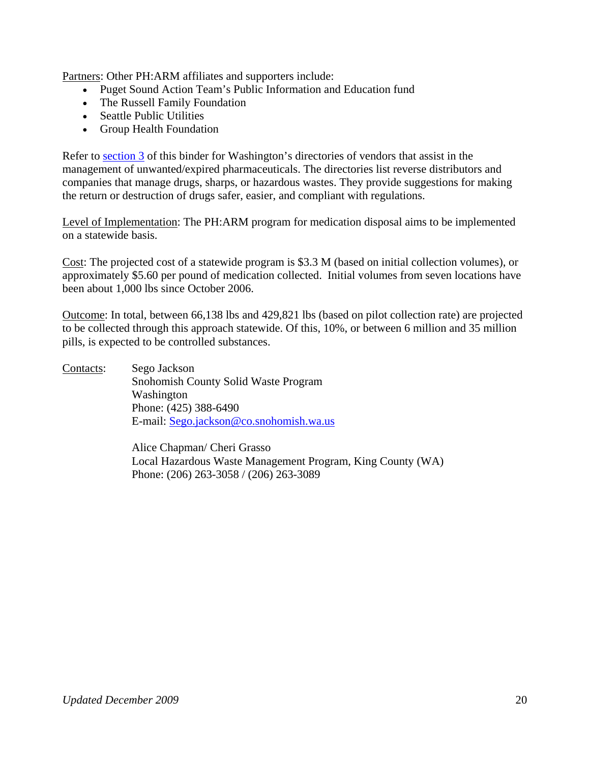Partners: Other PH:ARM affiliates and supporters include:

- Puget Sound Action Team's Public Information and Education fund
- The Russell Family Foundation
- Seattle Public Utilities
- Group Health Foundation

Refer to section 3 of this binder for Washington's directories of vendors that assist in the management of unwanted/expired pharmaceuticals. The directories list reverse distributors and companies that manage drugs, sharps, or hazardous wastes. They provide suggestions for making the return or destruction of drugs safer, easier, and compliant with regulations.

Level of Implementation: The PH:ARM program for medication disposal aims to be implemented on a statewide basis.

Cost: The projected cost of a statewide program is \$3.3 M (based on initial collection volumes), or approximately \$5.60 per pound of medication collected. Initial volumes from seven locations have been about 1,000 lbs since October 2006.

Outcome: In total, between 66,138 lbs and 429,821 lbs (based on pilot collection rate) are projected to be collected through this approach statewide. Of this, 10%, or between 6 million and 35 million pills, is expected to be controlled substances.

Contacts: Sego Jackson Snohomish County Solid Waste Program Washington Phone: (425) 388-6490 E-mail: Sego.jackson@co.snohomish.wa.us

> Alice Chapman/ Cheri Grasso Local Hazardous Waste Management Program, King County (WA) Phone: (206) 263-3058 / (206) 263-3089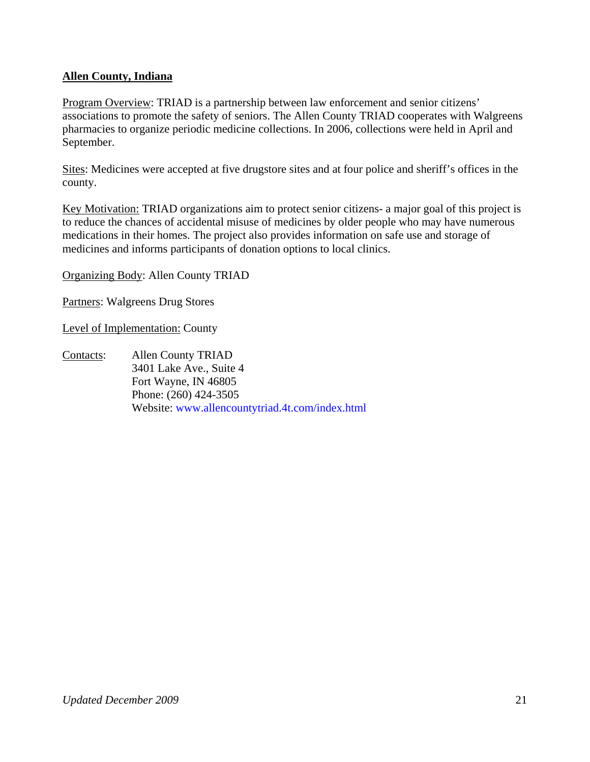#### **Allen County, Indiana**

Program Overview: TRIAD is a partnership between law enforcement and senior citizens' associations to promote the safety of seniors. The Allen County TRIAD cooperates with Walgreens pharmacies to organize periodic medicine collections. In 2006, collections were held in April and September.

Sites: Medicines were accepted at five drugstore sites and at four police and sheriff's offices in the county.

Key Motivation: TRIAD organizations aim to protect senior citizens- a major goal of this project is to reduce the chances of accidental misuse of medicines by older people who may have numerous medications in their homes. The project also provides information on safe use and storage of medicines and informs participants of donation options to local clinics.

Organizing Body: Allen County TRIAD

Partners: Walgreens Drug Stores

Level of Implementation: County

Contacts: Allen County TRIAD 3401 Lake Ave., Suite 4 Fort Wayne, IN 46805 Phone: (260) 424-3505 Website: www.allencountytriad.4t.com/index.html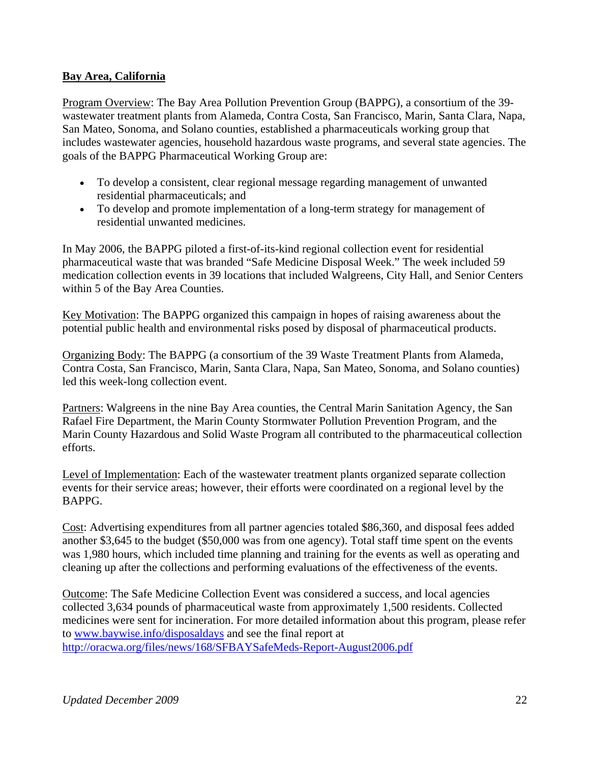### **Bay Area, California**

Program Overview: The Bay Area Pollution Prevention Group (BAPPG), a consortium of the 39 wastewater treatment plants from Alameda, Contra Costa, San Francisco, Marin, Santa Clara, Napa, San Mateo, Sonoma, and Solano counties, established a pharmaceuticals working group that includes wastewater agencies, household hazardous waste programs, and several state agencies. The goals of the BAPPG Pharmaceutical Working Group are:

- To develop a consistent, clear regional message regarding management of unwanted residential pharmaceuticals; and
- To develop and promote implementation of a long-term strategy for management of residential unwanted medicines.

In May 2006, the BAPPG piloted a first-of-its-kind regional collection event for residential pharmaceutical waste that was branded "Safe Medicine Disposal Week." The week included 59 medication collection events in 39 locations that included Walgreens, City Hall, and Senior Centers within 5 of the Bay Area Counties.

Key Motivation: The BAPPG organized this campaign in hopes of raising awareness about the potential public health and environmental risks posed by disposal of pharmaceutical products.

Organizing Body: The BAPPG (a consortium of the 39 Waste Treatment Plants from Alameda, Contra Costa, San Francisco, Marin, Santa Clara, Napa, San Mateo, Sonoma, and Solano counties) led this week-long collection event.

Partners: Walgreens in the nine Bay Area counties, the Central Marin Sanitation Agency, the San Rafael Fire Department, the Marin County Stormwater Pollution Prevention Program, and the Marin County Hazardous and Solid Waste Program all contributed to the pharmaceutical collection efforts.

Level of Implementation: Each of the wastewater treatment plants organized separate collection events for their service areas; however, their efforts were coordinated on a regional level by the **BAPPG** 

Cost: Advertising expenditures from all partner agencies totaled \$86,360, and disposal fees added another \$3,645 to the budget (\$50,000 was from one agency). Total staff time spent on the events was 1,980 hours, which included time planning and training for the events as well as operating and cleaning up after the collections and performing evaluations of the effectiveness of the events.

Outcome: The Safe Medicine Collection Event was considered a success, and local agencies collected 3,634 pounds of pharmaceutical waste from approximately 1,500 residents. Collected medicines were sent for incineration. For more detailed information about this program, please refer to www.baywise.info/disposaldays and see the final report at http://oracwa.org/files/news/168/SFBAYSafeMeds-Report-August2006.pdf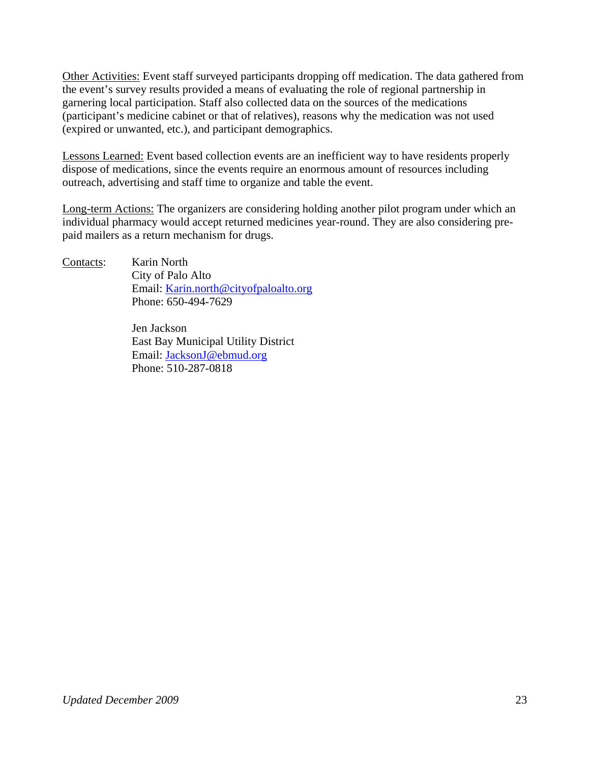Other Activities: Event staff surveyed participants dropping off medication. The data gathered from the event's survey results provided a means of evaluating the role of regional partnership in garnering local participation. Staff also collected data on the sources of the medications (participant's medicine cabinet or that of relatives), reasons why the medication was not used (expired or unwanted, etc.), and participant demographics.

Lessons Learned: Event based collection events are an inefficient way to have residents properly dispose of medications, since the events require an enormous amount of resources including outreach, advertising and staff time to organize and table the event.

Long-term Actions: The organizers are considering holding another pilot program under which an individual pharmacy would accept returned medicines year-round. They are also considering prepaid mailers as a return mechanism for drugs.

Contacts: Karin North City of Palo Alto Email: Karin.north@cityofpaloalto.org Phone: 650-494-7629

> Jen Jackson East Bay Municipal Utility District Email: JacksonJ@ebmud.org Phone: 510-287-0818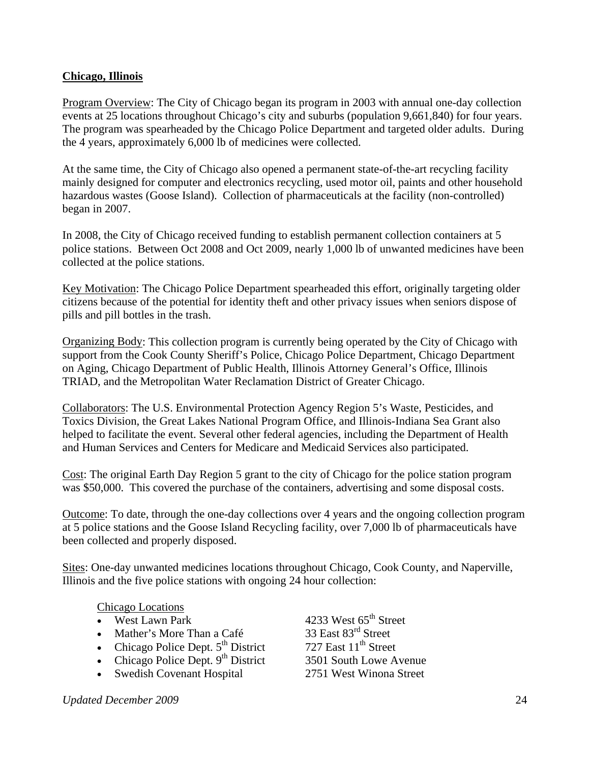#### **Chicago, Illinois**

Program Overview: The City of Chicago began its program in 2003 with annual one-day collection events at 25 locations throughout Chicago's city and suburbs (population 9,661,840) for four years. The program was spearheaded by the Chicago Police Department and targeted older adults. During the 4 years, approximately 6,000 lb of medicines were collected.

At the same time, the City of Chicago also opened a permanent state-of-the-art recycling facility mainly designed for computer and electronics recycling, used motor oil, paints and other household hazardous wastes (Goose Island). Collection of pharmaceuticals at the facility (non-controlled) began in 2007.

In 2008, the City of Chicago received funding to establish permanent collection containers at 5 police stations. Between Oct 2008 and Oct 2009, nearly 1,000 lb of unwanted medicines have been collected at the police stations.

Key Motivation: The Chicago Police Department spearheaded this effort, originally targeting older citizens because of the potential for identity theft and other privacy issues when seniors dispose of pills and pill bottles in the trash.

Organizing Body: This collection program is currently being operated by the City of Chicago with support from the Cook County Sheriff's Police, Chicago Police Department, Chicago Department on Aging, Chicago Department of Public Health, Illinois Attorney General's Office, Illinois TRIAD, and the Metropolitan Water Reclamation District of Greater Chicago.

Collaborators: The U.S. Environmental Protection Agency Region 5's Waste, Pesticides, and Toxics Division, the Great Lakes National Program Office, and Illinois-Indiana Sea Grant also helped to facilitate the event. Several other federal agencies, including the Department of Health and Human Services and Centers for Medicare and Medicaid Services also participated.

Cost: The original Earth Day Region 5 grant to the city of Chicago for the police station program was \$50,000. This covered the purchase of the containers, advertising and some disposal costs.

Outcome: To date, through the one-day collections over 4 years and the ongoing collection program at 5 police stations and the Goose Island Recycling facility, over 7,000 lb of pharmaceuticals have been collected and properly disposed.

Sites: One-day unwanted medicines locations throughout Chicago, Cook County, and Naperville, Illinois and the five police stations with ongoing 24 hour collection:

#### Chicago Locations

- 
- 
- Chicago Police Dept.  $5<sup>th</sup>$  District
- Chicago Police Dept.  $9^{th}$  District 3501 South Lowe Avenue
- Swedish Covenant Hospital 2751 West Winona Street

• West Lawn Park  $\overline{4233}$  West  $65^{\text{th}}$  Street<br>
• Mather's More Than a Café  $\overline{33}$  East  $83^{\text{rd}}$  Street • Mather's More Than a Café  $\frac{33 \text{ East } 83^{\text{rd}} \text{ Street}}{727 \text{ East } 11^{\text{th}} \text{ Street}}$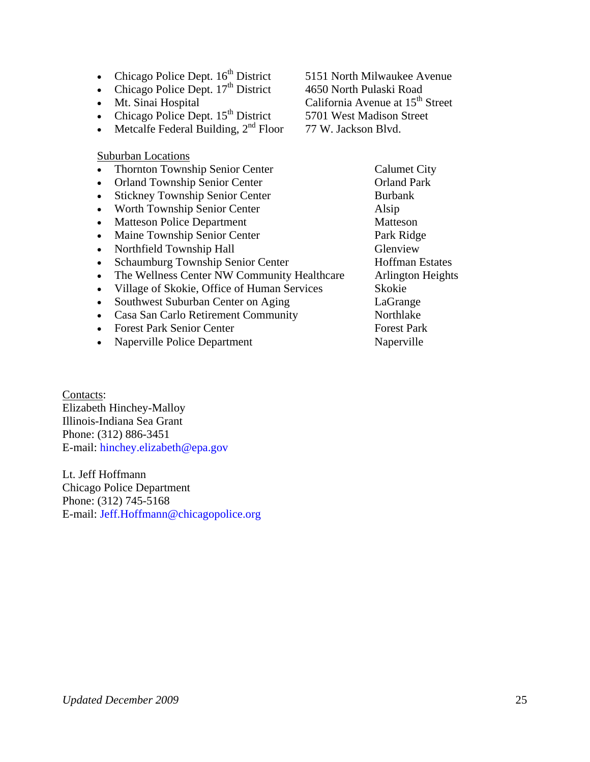- Chicago Police Dept. 16<sup>th</sup> District 5151 North Milwaukee Avenue
- Chicago Police Dept.  $17<sup>th</sup>$  District 4650 North Pulaski Road
- Mt. Sinai Hospital California Avenue at 15<sup>th</sup> Street
- Chicago Police Dept. 15<sup>th</sup> District 5701 West Madison Street
- Metcalfe Federal Building,  $2<sup>nd</sup>$  Floor 77 W. Jackson Blvd.

#### Suburban Locations

- Thornton Township Senior Center Calumet City
- Orland Township Senior Center **Orland Park**
- Stickney Township Senior Center Burbank
- Worth Township Senior Center Alsip
- **Matteson Police Department Matteson**
- Maine Township Senior Center Park Ridge
- Northfield Township Hall Glenview
- **Schaumburg Township Senior Center Hoffman Estates**
- The Wellness Center NW Community Healthcare Arlington Heights
- Village of Skokie, Office of Human Services Skokie
- Southwest Suburban Center on Aging LaGrange
- Casa San Carlo Retirement Community Northlake
- Forest Park Senior Center Forest Park
- **Naperville Police Department** Naperville

Contacts: Elizabeth Hinchey-Malloy Illinois-Indiana Sea Grant Phone: (312) 886-3451 E-mail: hinchey.elizabeth@epa.gov

Lt. Jeff Hoffmann Chicago Police Department Phone: (312) 745-5168 E-mail: Jeff.Hoffmann@chicagopolice.org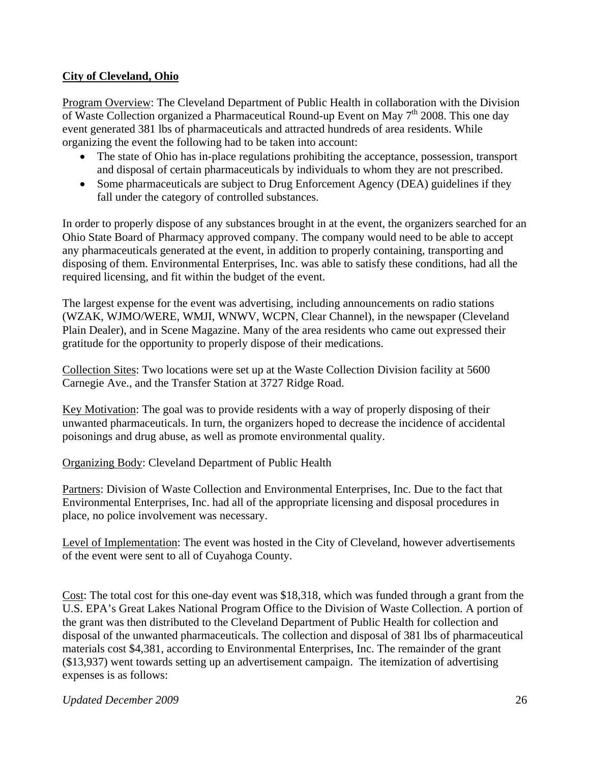### **City of Cleveland, Ohio**

Program Overview: The Cleveland Department of Public Health in collaboration with the Division of Waste Collection organized a Pharmaceutical Round-up Event on May 7<sup>th</sup> 2008. This one day event generated 381 lbs of pharmaceuticals and attracted hundreds of area residents. While organizing the event the following had to be taken into account:

- The state of Ohio has in-place regulations prohibiting the acceptance, possession, transport and disposal of certain pharmaceuticals by individuals to whom they are not prescribed.
- Some pharmaceuticals are subject to Drug Enforcement Agency (DEA) guidelines if they fall under the category of controlled substances.

In order to properly dispose of any substances brought in at the event, the organizers searched for an Ohio State Board of Pharmacy approved company. The company would need to be able to accept any pharmaceuticals generated at the event, in addition to properly containing, transporting and disposing of them. Environmental Enterprises, Inc. was able to satisfy these conditions, had all the required licensing, and fit within the budget of the event.

The largest expense for the event was advertising, including announcements on radio stations (WZAK, WJMO/WERE, WMJI, WNWV, WCPN, Clear Channel), in the newspaper (Cleveland Plain Dealer), and in Scene Magazine. Many of the area residents who came out expressed their gratitude for the opportunity to properly dispose of their medications.

Collection Sites: Two locations were set up at the Waste Collection Division facility at 5600 Carnegie Ave., and the Transfer Station at 3727 Ridge Road.

Key Motivation: The goal was to provide residents with a way of properly disposing of their unwanted pharmaceuticals. In turn, the organizers hoped to decrease the incidence of accidental poisonings and drug abuse, as well as promote environmental quality.

Organizing Body: Cleveland Department of Public Health

Partners: Division of Waste Collection and Environmental Enterprises, Inc. Due to the fact that Environmental Enterprises, Inc. had all of the appropriate licensing and disposal procedures in place, no police involvement was necessary.

Level of Implementation: The event was hosted in the City of Cleveland, however advertisements of the event were sent to all of Cuyahoga County.

Cost: The total cost for this one-day event was \$18,318, which was funded through a grant from the U.S. EPA's Great Lakes National Program Office to the Division of Waste Collection. A portion of the grant was then distributed to the Cleveland Department of Public Health for collection and disposal of the unwanted pharmaceuticals. The collection and disposal of 381 lbs of pharmaceutical materials cost \$4,381, according to Environmental Enterprises, Inc. The remainder of the grant (\$13,937) went towards setting up an advertisement campaign. The itemization of advertising expenses is as follows: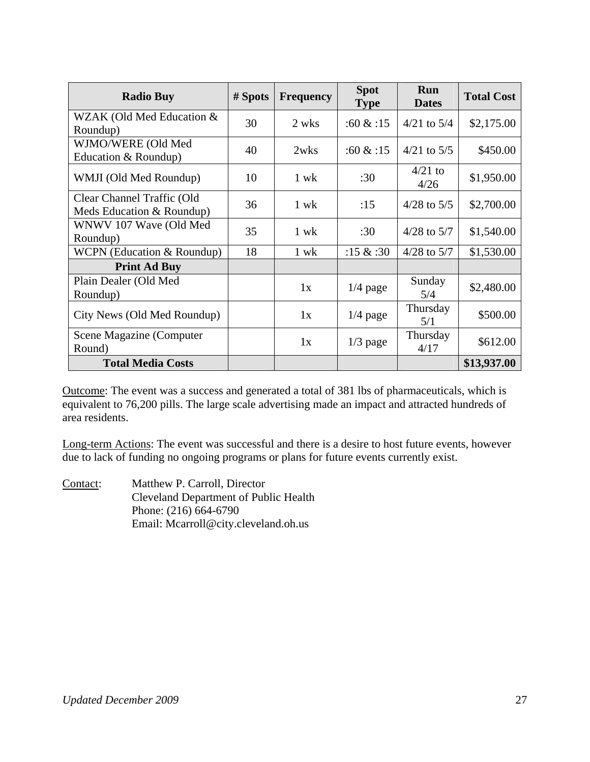| <b>Radio Buy</b>                                        | # Spots | <b>Frequency</b> | <b>Spot</b><br><b>Type</b> | <b>Run</b><br><b>Dates</b> | <b>Total Cost</b> |
|---------------------------------------------------------|---------|------------------|----------------------------|----------------------------|-------------------|
| WZAK (Old Med Education &<br>Roundup)                   | 30      | 2 wks            | :60 & 15                   | $4/21$ to $5/4$            | \$2,175.00        |
| WJMO/WERE (Old Med<br>Education & Roundup)              | 40      | 2wks             | :60 & 15                   | $4/21$ to $5/5$            | \$450.00          |
| WMJI (Old Med Roundup)                                  | 10      | 1 wk             | :30                        | $4/21$ to<br>4/26          | \$1,950.00        |
| Clear Channel Traffic (Old<br>Meds Education & Roundup) | 36      | 1 wk             | :15                        | $4/28$ to $5/5$            | \$2,700.00        |
| WNWV 107 Wave (Old Med<br>Roundup)                      | 35      | 1 wk             | :30                        | $4/28$ to $5/7$            | \$1,540.00        |
| WCPN (Education & Roundup)                              | 18      | 1 wk             | :15 $&$ :30                | $4/28$ to $5/7$            | \$1,530.00        |
| <b>Print Ad Buy</b>                                     |         |                  |                            |                            |                   |
| Plain Dealer (Old Med<br>Roundup)                       |         | 1x               | $1/4$ page                 | Sunday<br>5/4              | \$2,480.00        |
| City News (Old Med Roundup)                             |         | 1x               | $1/4$ page                 | Thursday<br>5/1            | \$500.00          |
| Scene Magazine (Computer<br>Round)                      |         | 1x               | $1/3$ page                 | Thursday<br>4/17           | \$612.00          |
| <b>Total Media Costs</b>                                |         |                  |                            |                            | \$13,937.00       |

Outcome: The event was a success and generated a total of 381 lbs of pharmaceuticals, which is equivalent to 76,200 pills. The large scale advertising made an impact and attracted hundreds of area residents.

Long-term Actions: The event was successful and there is a desire to host future events, however due to lack of funding no ongoing programs or plans for future events currently exist.

Contact: Matthew P. Carroll, Director Cleveland Department of Public Health Phone: (216) 664-6790 Email: Mcarroll@city.cleveland.oh.us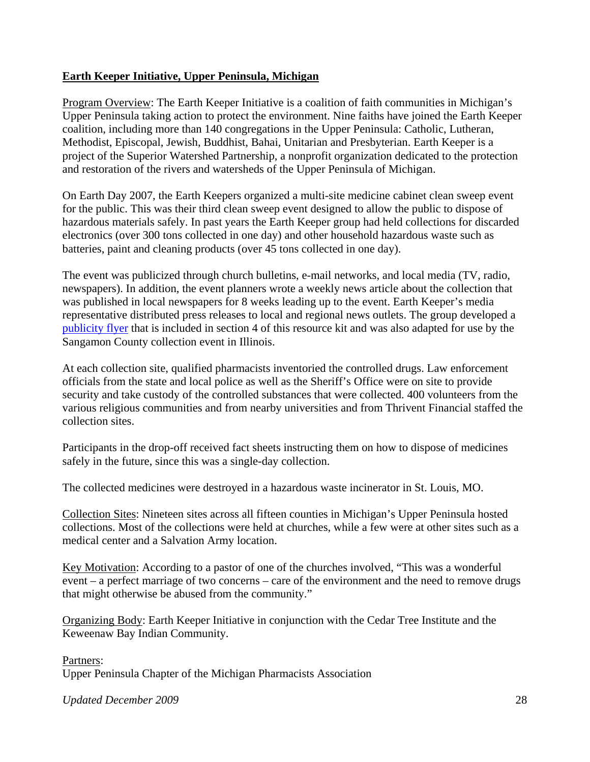#### **Earth Keeper Initiative, Upper Peninsula, Michigan**

Program Overview: The Earth Keeper Initiative is a coalition of faith communities in Michigan's Upper Peninsula taking action to protect the environment. Nine faiths have joined the Earth Keeper coalition, including more than 140 congregations in the Upper Peninsula: Catholic, Lutheran, Methodist, Episcopal, Jewish, Buddhist, Bahai, Unitarian and Presbyterian. Earth Keeper is a project of the Superior Watershed Partnership, a nonprofit organization dedicated to the protection and restoration of the rivers and watersheds of the Upper Peninsula of Michigan.

On Earth Day 2007, the Earth Keepers organized a multi-site medicine cabinet clean sweep event for the public. This was their third clean sweep event designed to allow the public to dispose of hazardous materials safely. In past years the Earth Keeper group had held collections for discarded electronics (over 300 tons collected in one day) and other household hazardous waste such as batteries, paint and cleaning products (over 45 tons collected in one day).

The event was publicized through church bulletins, e-mail networks, and local media (TV, radio, newspapers). In addition, the event planners wrote a weekly news article about the collection that was published in local newspapers for 8 weeks leading up to the event. Earth Keeper's media representative distributed press releases to local and regional news outlets. The group developed a publicity flyer that is included in section 4 of this resource kit and was also adapted for use by the Sangamon County collection event in Illinois.

At each collection site, qualified pharmacists inventoried the controlled drugs. Law enforcement officials from the state and local police as well as the Sheriff's Office were on site to provide security and take custody of the controlled substances that were collected. 400 volunteers from the various religious communities and from nearby universities and from Thrivent Financial staffed the collection sites.

Participants in the drop-off received fact sheets instructing them on how to dispose of medicines safely in the future, since this was a single-day collection.

The collected medicines were destroyed in a hazardous waste incinerator in St. Louis, MO.

Collection Sites: Nineteen sites across all fifteen counties in Michigan's Upper Peninsula hosted collections. Most of the collections were held at churches, while a few were at other sites such as a medical center and a Salvation Army location.

Key Motivation: According to a pastor of one of the churches involved, "This was a wonderful event – a perfect marriage of two concerns – care of the environment and the need to remove drugs that might otherwise be abused from the community."

Organizing Body: Earth Keeper Initiative in conjunction with the Cedar Tree Institute and the Keweenaw Bay Indian Community.

Partners: Upper Peninsula Chapter of the Michigan Pharmacists Association

*Updated December 2009* 28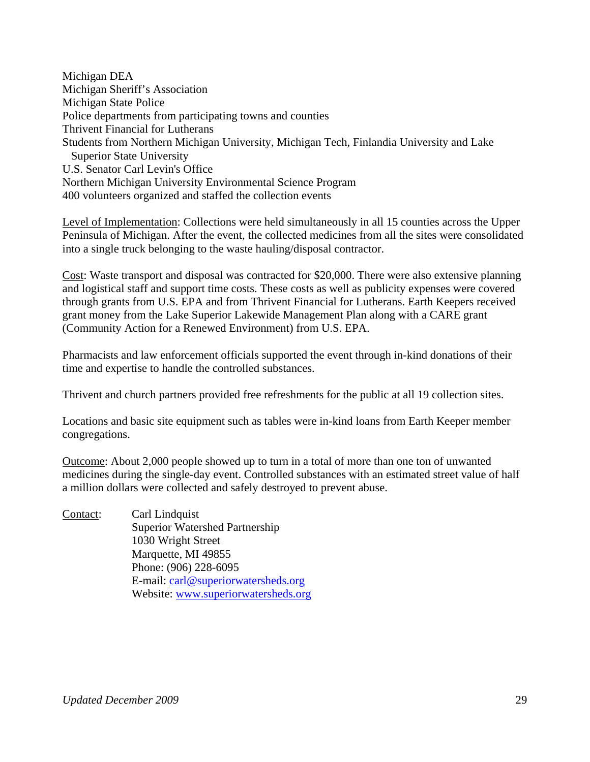Michigan DEA Michigan Sheriff's Association Michigan State Police Police departments from participating towns and counties Thrivent Financial for Lutherans Students from Northern Michigan University, Michigan Tech, Finlandia University and Lake Superior State University U.S. Senator Carl Levin's Office Northern Michigan University Environmental Science Program 400 volunteers organized and staffed the collection events

Level of Implementation: Collections were held simultaneously in all 15 counties across the Upper Peninsula of Michigan. After the event, the collected medicines from all the sites were consolidated into a single truck belonging to the waste hauling/disposal contractor.

Cost: Waste transport and disposal was contracted for \$20,000. There were also extensive planning and logistical staff and support time costs. These costs as well as publicity expenses were covered through grants from U.S. EPA and from Thrivent Financial for Lutherans. Earth Keepers received grant money from the Lake Superior Lakewide Management Plan along with a CARE grant (Community Action for a Renewed Environment) from U.S. EPA.

Pharmacists and law enforcement officials supported the event through in-kind donations of their time and expertise to handle the controlled substances.

Thrivent and church partners provided free refreshments for the public at all 19 collection sites.

Locations and basic site equipment such as tables were in-kind loans from Earth Keeper member congregations.

Outcome: About 2,000 people showed up to turn in a total of more than one ton of unwanted medicines during the single-day event. Controlled substances with an estimated street value of half a million dollars were collected and safely destroyed to prevent abuse.

Contact: Carl Lindquist Superior Watershed Partnership 1030 Wright Street Marquette, MI 49855 Phone: (906) 228-6095 E-mail: carl@superiorwatersheds.org Website: www.superiorwatersheds.org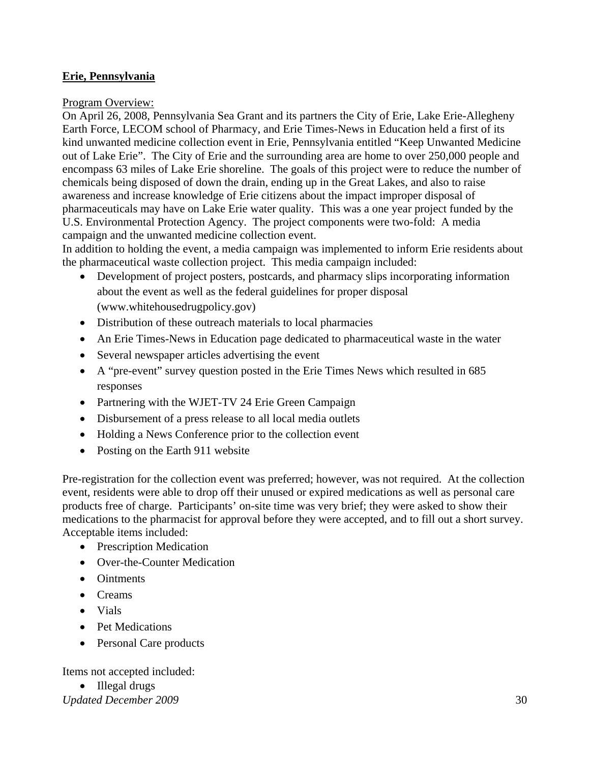### **Erie, Pennsylvania**

#### Program Overview:

On April 26, 2008, Pennsylvania Sea Grant and its partners the City of Erie, Lake Erie-Allegheny Earth Force, LECOM school of Pharmacy, and Erie Times-News in Education held a first of its kind unwanted medicine collection event in Erie, Pennsylvania entitled "Keep Unwanted Medicine out of Lake Erie". The City of Erie and the surrounding area are home to over 250,000 people and encompass 63 miles of Lake Erie shoreline. The goals of this project were to reduce the number of chemicals being disposed of down the drain, ending up in the Great Lakes, and also to raise awareness and increase knowledge of Erie citizens about the impact improper disposal of pharmaceuticals may have on Lake Erie water quality. This was a one year project funded by the U.S. Environmental Protection Agency. The project components were two-fold: A media campaign and the unwanted medicine collection event.

In addition to holding the event, a media campaign was implemented to inform Erie residents about the pharmaceutical waste collection project. This media campaign included:

- Development of project posters, postcards, and pharmacy slips incorporating information about the event as well as the federal guidelines for proper disposal (www.whitehousedrugpolicy.gov)
- Distribution of these outreach materials to local pharmacies
- An Erie Times-News in Education page dedicated to pharmaceutical waste in the water
- Several newspaper articles advertising the event
- A "pre-event" survey question posted in the Erie Times News which resulted in 685 responses
- Partnering with the WJET-TV 24 Erie Green Campaign
- Disbursement of a press release to all local media outlets
- Holding a News Conference prior to the collection event
- Posting on the Earth 911 website

Pre-registration for the collection event was preferred; however, was not required. At the collection event, residents were able to drop off their unused or expired medications as well as personal care products free of charge. Participants' on-site time was very brief; they were asked to show their medications to the pharmacist for approval before they were accepted, and to fill out a short survey. Acceptable items included:

- Prescription Medication
- Over-the-Counter Medication
- Ointments
- Creams
- Vials
- Pet Medications
- Personal Care products

Items not accepted included:

• Illegal drugs

*Updated December 2009* 30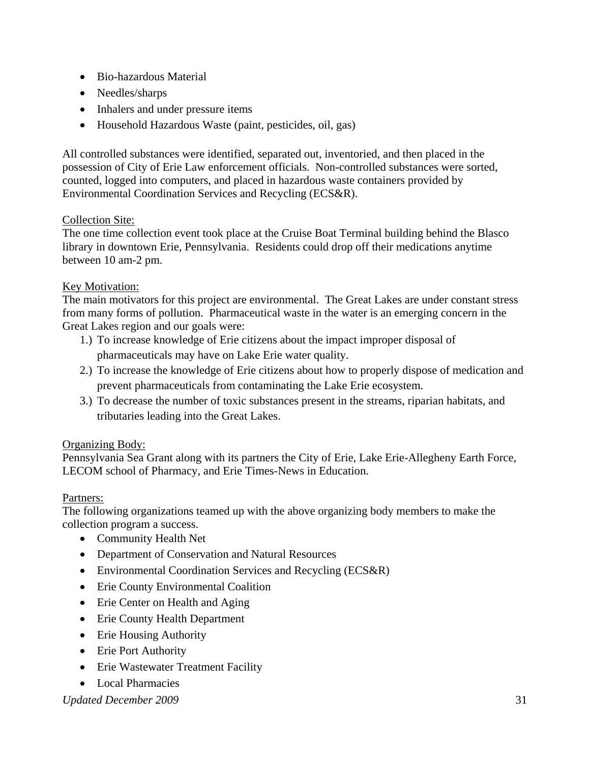- Bio-hazardous Material
- Needles/sharps
- Inhalers and under pressure items
- Household Hazardous Waste (paint, pesticides, oil, gas)

All controlled substances were identified, separated out, inventoried, and then placed in the possession of City of Erie Law enforcement officials. Non-controlled substances were sorted, counted, logged into computers, and placed in hazardous waste containers provided by Environmental Coordination Services and Recycling (ECS&R).

### Collection Site:

The one time collection event took place at the Cruise Boat Terminal building behind the Blasco library in downtown Erie, Pennsylvania. Residents could drop off their medications anytime between 10 am-2 pm.

#### Key Motivation:

The main motivators for this project are environmental. The Great Lakes are under constant stress from many forms of pollution. Pharmaceutical waste in the water is an emerging concern in the Great Lakes region and our goals were:

- 1.) To increase knowledge of Erie citizens about the impact improper disposal of pharmaceuticals may have on Lake Erie water quality.
- 2.) To increase the knowledge of Erie citizens about how to properly dispose of medication and prevent pharmaceuticals from contaminating the Lake Erie ecosystem.
- 3.) To decrease the number of toxic substances present in the streams, riparian habitats, and tributaries leading into the Great Lakes.

### Organizing Body:

Pennsylvania Sea Grant along with its partners the City of Erie, Lake Erie-Allegheny Earth Force, LECOM school of Pharmacy, and Erie Times-News in Education.

#### Partners:

The following organizations teamed up with the above organizing body members to make the collection program a success.

- Community Health Net
- Department of Conservation and Natural Resources
- Environmental Coordination Services and Recycling (ECS&R)
- Erie County Environmental Coalition
- Erie Center on Health and Aging
- Erie County Health Department
- Erie Housing Authority
- Erie Port Authority
- Erie Wastewater Treatment Facility
- Local Pharmacies

*Updated December 2009* 31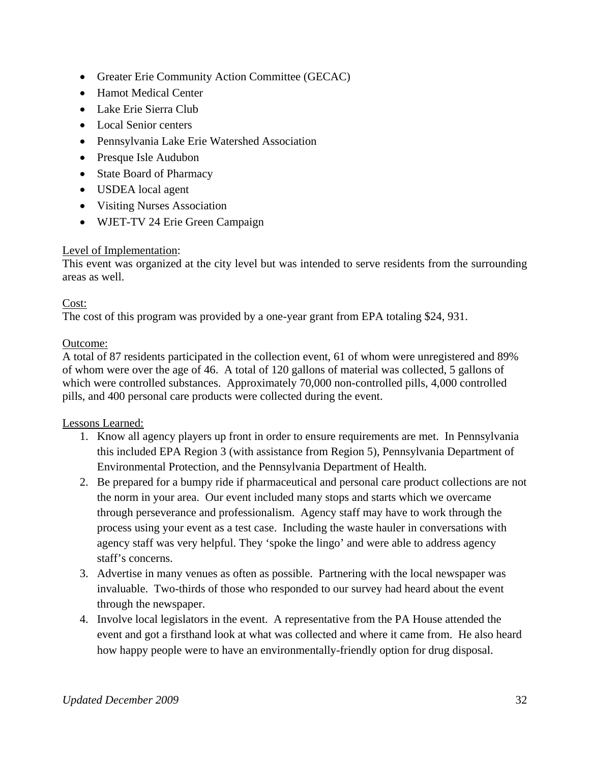- Greater Erie Community Action Committee (GECAC)
- Hamot Medical Center
- Lake Erie Sierra Club
- Local Senior centers
- Pennsylvania Lake Erie Watershed Association
- Presque Isle Audubon
- State Board of Pharmacy
- USDEA local agent
- Visiting Nurses Association
- WJET-TV 24 Erie Green Campaign

### Level of Implementation:

This event was organized at the city level but was intended to serve residents from the surrounding areas as well.

### Cost:

The cost of this program was provided by a one-year grant from EPA totaling \$24, 931.

### Outcome:

A total of 87 residents participated in the collection event, 61 of whom were unregistered and 89% of whom were over the age of 46. A total of 120 gallons of material was collected, 5 gallons of which were controlled substances. Approximately 70,000 non-controlled pills, 4,000 controlled pills, and 400 personal care products were collected during the event.

### Lessons Learned:

- 1. Know all agency players up front in order to ensure requirements are met. In Pennsylvania this included EPA Region 3 (with assistance from Region 5), Pennsylvania Department of Environmental Protection, and the Pennsylvania Department of Health.
- 2. Be prepared for a bumpy ride if pharmaceutical and personal care product collections are not the norm in your area. Our event included many stops and starts which we overcame through perseverance and professionalism. Agency staff may have to work through the process using your event as a test case. Including the waste hauler in conversations with agency staff was very helpful. They 'spoke the lingo' and were able to address agency staff's concerns.
- 3. Advertise in many venues as often as possible. Partnering with the local newspaper was invaluable. Two-thirds of those who responded to our survey had heard about the event through the newspaper.
- 4. Involve local legislators in the event. A representative from the PA House attended the event and got a firsthand look at what was collected and where it came from. He also heard how happy people were to have an environmentally-friendly option for drug disposal.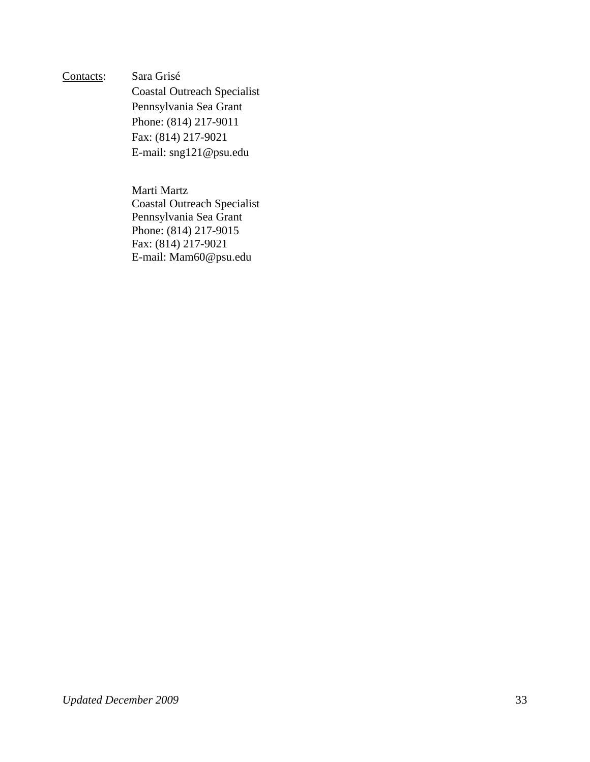Contacts: Sara Grisé

 Coastal Outreach Specialist Pennsylvania Sea Grant Phone: (814) 217-9011 Fax: (814) 217-9021 E-mail: sng121@psu.edu

 Marti Martz Coastal Outreach Specialist Pennsylvania Sea Grant Phone: (814) 217-9015 Fax: (814) 217-9021 E-mail: Mam60@psu.edu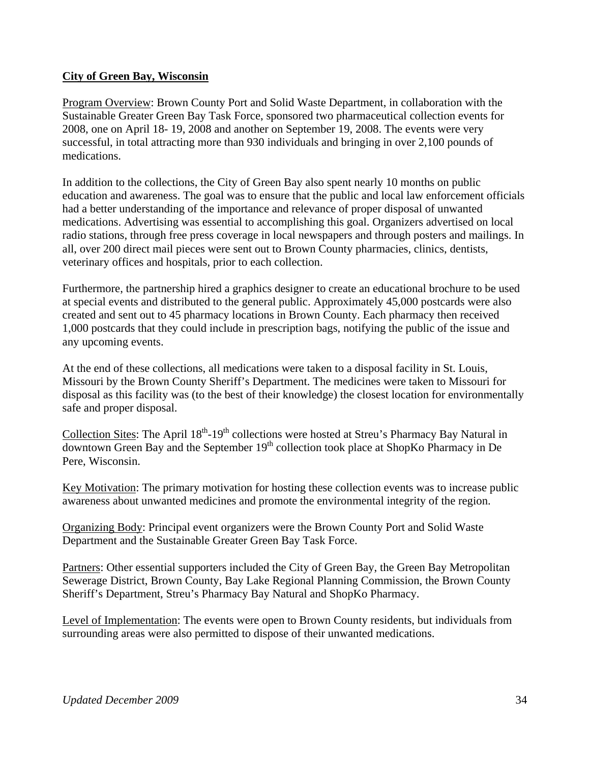### **City of Green Bay, Wisconsin**

Program Overview: Brown County Port and Solid Waste Department, in collaboration with the Sustainable Greater Green Bay Task Force, sponsored two pharmaceutical collection events for 2008, one on April 18- 19, 2008 and another on September 19, 2008. The events were very successful, in total attracting more than 930 individuals and bringing in over 2,100 pounds of medications.

In addition to the collections, the City of Green Bay also spent nearly 10 months on public education and awareness. The goal was to ensure that the public and local law enforcement officials had a better understanding of the importance and relevance of proper disposal of unwanted medications. Advertising was essential to accomplishing this goal. Organizers advertised on local radio stations, through free press coverage in local newspapers and through posters and mailings. In all, over 200 direct mail pieces were sent out to Brown County pharmacies, clinics, dentists, veterinary offices and hospitals, prior to each collection.

Furthermore, the partnership hired a graphics designer to create an educational brochure to be used at special events and distributed to the general public. Approximately 45,000 postcards were also created and sent out to 45 pharmacy locations in Brown County. Each pharmacy then received 1,000 postcards that they could include in prescription bags, notifying the public of the issue and any upcoming events.

At the end of these collections, all medications were taken to a disposal facility in St. Louis, Missouri by the Brown County Sheriff's Department. The medicines were taken to Missouri for disposal as this facility was (to the best of their knowledge) the closest location for environmentally safe and proper disposal.

Collection Sites: The April 18<sup>th</sup>-19<sup>th</sup> collections were hosted at Streu's Pharmacy Bay Natural in  $\overline{\text{downtown}}$  Green Bay and the September  $19<sup>th</sup>$  collection took place at ShopKo Pharmacy in De Pere, Wisconsin.

Key Motivation: The primary motivation for hosting these collection events was to increase public awareness about unwanted medicines and promote the environmental integrity of the region.

Organizing Body: Principal event organizers were the Brown County Port and Solid Waste Department and the Sustainable Greater Green Bay Task Force.

Partners: Other essential supporters included the City of Green Bay, the Green Bay Metropolitan Sewerage District, Brown County, Bay Lake Regional Planning Commission, the Brown County Sheriff's Department, Streu's Pharmacy Bay Natural and ShopKo Pharmacy.

Level of Implementation: The events were open to Brown County residents, but individuals from surrounding areas were also permitted to dispose of their unwanted medications.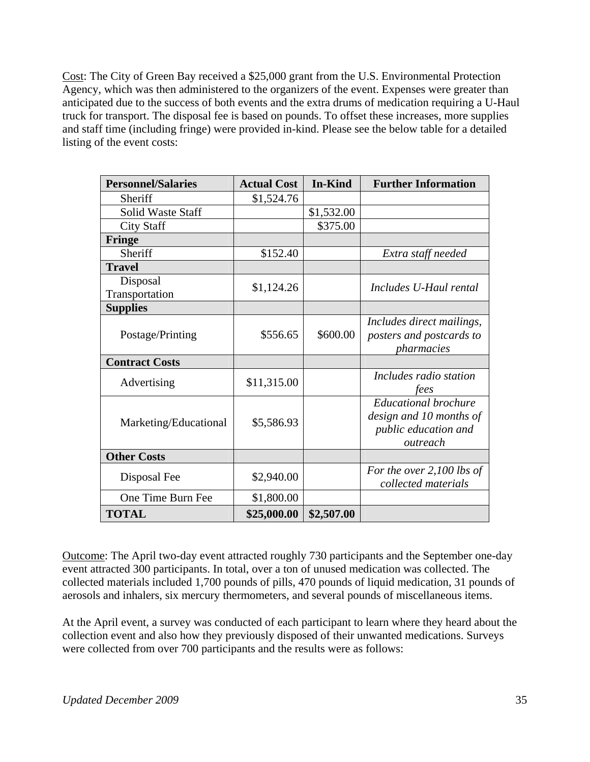Cost: The City of Green Bay received a \$25,000 grant from the U.S. Environmental Protection Agency, which was then administered to the organizers of the event. Expenses were greater than anticipated due to the success of both events and the extra drums of medication requiring a U-Haul truck for transport. The disposal fee is based on pounds. To offset these increases, more supplies and staff time (including fringe) were provided in-kind. Please see the below table for a detailed listing of the event costs:

| <b>Personnel/Salaries</b> | <b>Actual Cost</b> | <b>In-Kind</b> | <b>Further Information</b>                                                                 |
|---------------------------|--------------------|----------------|--------------------------------------------------------------------------------------------|
| Sheriff                   | \$1,524.76         |                |                                                                                            |
| Solid Waste Staff         |                    | \$1,532.00     |                                                                                            |
| <b>City Staff</b>         |                    | \$375.00       |                                                                                            |
| <b>Fringe</b>             |                    |                |                                                                                            |
| Sheriff                   | \$152.40           |                | Extra staff needed                                                                         |
| <b>Travel</b>             |                    |                |                                                                                            |
| Disposal                  | \$1,124.26         |                | Includes U-Haul rental                                                                     |
| Transportation            |                    |                |                                                                                            |
| <b>Supplies</b>           |                    |                |                                                                                            |
| Postage/Printing          | \$556.65           | \$600.00       | Includes direct mailings,<br>posters and postcards to<br>pharmacies                        |
| <b>Contract Costs</b>     |                    |                |                                                                                            |
| Advertising               | \$11,315.00        |                | Includes radio station<br>fees                                                             |
| Marketing/Educational     | \$5,586.93         |                | <b>Educational brochure</b><br>design and 10 months of<br>public education and<br>outreach |
| <b>Other Costs</b>        |                    |                |                                                                                            |
| Disposal Fee              | \$2,940.00         |                | For the over 2,100 lbs of<br>collected materials                                           |
| One Time Burn Fee         | \$1,800.00         |                |                                                                                            |
| <b>TOTAL</b>              | \$25,000.00        | \$2,507.00     |                                                                                            |

Outcome: The April two-day event attracted roughly 730 participants and the September one-day event attracted 300 participants. In total, over a ton of unused medication was collected. The collected materials included 1,700 pounds of pills, 470 pounds of liquid medication, 31 pounds of aerosols and inhalers, six mercury thermometers, and several pounds of miscellaneous items.

At the April event, a survey was conducted of each participant to learn where they heard about the collection event and also how they previously disposed of their unwanted medications. Surveys were collected from over 700 participants and the results were as follows: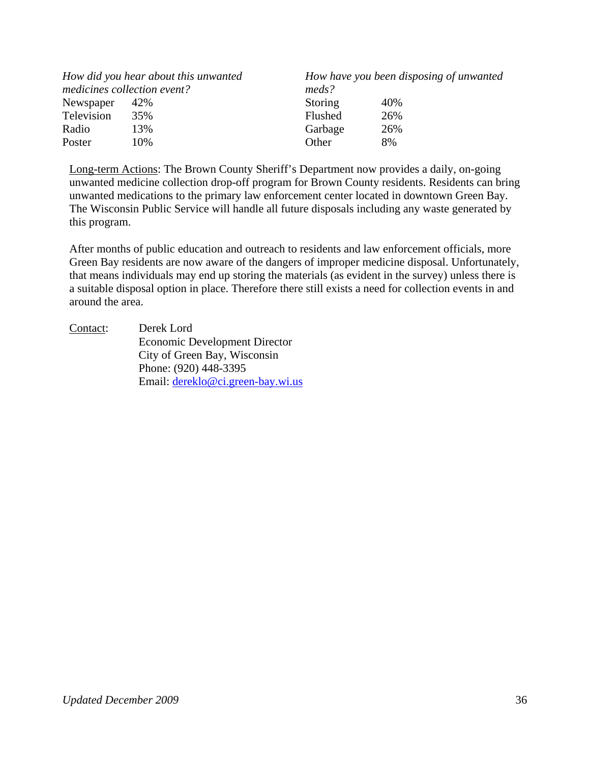| How did you hear about this unwanted<br>medicines collection event? |     | meds?          | How have you been disposing of unwanted |
|---------------------------------------------------------------------|-----|----------------|-----------------------------------------|
| Newspaper                                                           | 42% | <b>Storing</b> | 40%                                     |
| Television                                                          | 35% | <b>Flushed</b> | 26%                                     |
| Radio                                                               | 13% | Garbage        | 26%                                     |
| Poster                                                              | 10% | Other          | 8%                                      |

Long-term Actions: The Brown County Sheriff's Department now provides a daily, on-going unwanted medicine collection drop-off program for Brown County residents. Residents can bring unwanted medications to the primary law enforcement center located in downtown Green Bay. The Wisconsin Public Service will handle all future disposals including any waste generated by this program.

After months of public education and outreach to residents and law enforcement officials, more Green Bay residents are now aware of the dangers of improper medicine disposal. Unfortunately, that means individuals may end up storing the materials (as evident in the survey) unless there is a suitable disposal option in place. Therefore there still exists a need for collection events in and around the area.

Contact: Derek Lord Economic Development Director City of Green Bay, Wisconsin Phone: (920) 448-3395 Email: dereklo@ci.green-bay.wi.us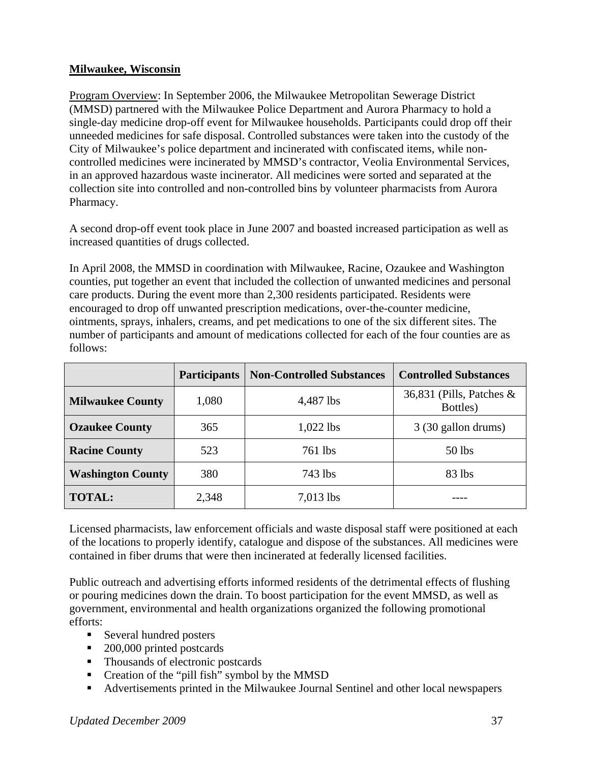### **Milwaukee, Wisconsin**

Program Overview: In September 2006, the Milwaukee Metropolitan Sewerage District (MMSD) partnered with the Milwaukee Police Department and Aurora Pharmacy to hold a single-day medicine drop-off event for Milwaukee households. Participants could drop off their unneeded medicines for safe disposal. Controlled substances were taken into the custody of the City of Milwaukee's police department and incinerated with confiscated items, while noncontrolled medicines were incinerated by MMSD's contractor, Veolia Environmental Services, in an approved hazardous waste incinerator. All medicines were sorted and separated at the collection site into controlled and non-controlled bins by volunteer pharmacists from Aurora Pharmacy.

A second drop-off event took place in June 2007 and boasted increased participation as well as increased quantities of drugs collected.

In April 2008, the MMSD in coordination with Milwaukee, Racine, Ozaukee and Washington counties, put together an event that included the collection of unwanted medicines and personal care products. During the event more than 2,300 residents participated. Residents were encouraged to drop off unwanted prescription medications, over-the-counter medicine, ointments, sprays, inhalers, creams, and pet medications to one of the six different sites. The number of participants and amount of medications collected for each of the four counties are as follows:

|                          | <b>Participants</b> | <b>Non-Controlled Substances</b> | <b>Controlled Substances</b>            |
|--------------------------|---------------------|----------------------------------|-----------------------------------------|
| <b>Milwaukee County</b>  | 1,080               | 4,487 lbs                        | 36,831 (Pills, Patches $\&$<br>Bottles) |
| <b>Ozaukee County</b>    | 365                 | $1,022$ lbs                      | 3 (30 gallon drums)                     |
| <b>Racine County</b>     | 523                 | 761 lbs                          | $50$ lbs                                |
| <b>Washington County</b> | 380                 | 743 lbs                          | 83 lbs                                  |
| <b>TOTAL:</b>            | 2,348               | $7,013$ lbs                      |                                         |

Licensed pharmacists, law enforcement officials and waste disposal staff were positioned at each of the locations to properly identify, catalogue and dispose of the substances. All medicines were contained in fiber drums that were then incinerated at federally licensed facilities.

Public outreach and advertising efforts informed residents of the detrimental effects of flushing or pouring medicines down the drain. To boost participation for the event MMSD, as well as government, environmental and health organizations organized the following promotional efforts:

- Several hundred posters
- 200,000 printed postcards
- Thousands of electronic postcards
- Creation of the "pill fish" symbol by the MMSD
- Advertisements printed in the Milwaukee Journal Sentinel and other local newspapers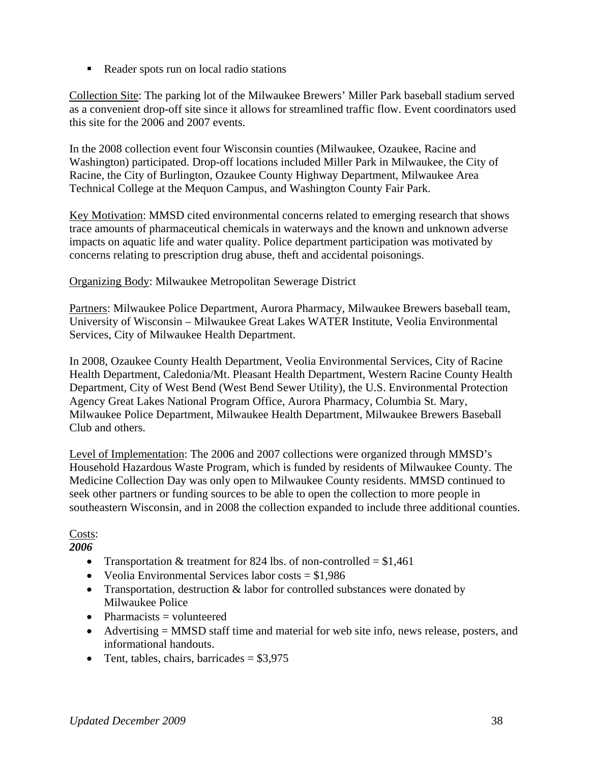Reader spots run on local radio stations

Collection Site: The parking lot of the Milwaukee Brewers' Miller Park baseball stadium served as a convenient drop-off site since it allows for streamlined traffic flow. Event coordinators used this site for the 2006 and 2007 events.

In the 2008 collection event four Wisconsin counties (Milwaukee, Ozaukee, Racine and Washington) participated. Drop-off locations included Miller Park in Milwaukee, the City of Racine, the City of Burlington, Ozaukee County Highway Department, Milwaukee Area Technical College at the Mequon Campus, and Washington County Fair Park.

Key Motivation: MMSD cited environmental concerns related to emerging research that shows trace amounts of pharmaceutical chemicals in waterways and the known and unknown adverse impacts on aquatic life and water quality. Police department participation was motivated by concerns relating to prescription drug abuse, theft and accidental poisonings.

Organizing Body: Milwaukee Metropolitan Sewerage District

Partners: Milwaukee Police Department, Aurora Pharmacy, Milwaukee Brewers baseball team, University of Wisconsin – Milwaukee Great Lakes WATER Institute, Veolia Environmental Services, City of Milwaukee Health Department.

In 2008, Ozaukee County Health Department, Veolia Environmental Services, City of Racine Health Department, Caledonia/Mt. Pleasant Health Department, Western Racine County Health Department, City of West Bend (West Bend Sewer Utility), the U.S. Environmental Protection Agency Great Lakes National Program Office, Aurora Pharmacy, Columbia St. Mary, Milwaukee Police Department, Milwaukee Health Department, Milwaukee Brewers Baseball Club and others.

Level of Implementation: The 2006 and 2007 collections were organized through MMSD's Household Hazardous Waste Program, which is funded by residents of Milwaukee County. The Medicine Collection Day was only open to Milwaukee County residents. MMSD continued to seek other partners or funding sources to be able to open the collection to more people in southeastern Wisconsin, and in 2008 the collection expanded to include three additional counties.

Costs:

*2006* 

- Transportation & treatment for 824 lbs. of non-controlled  $= $1,461$
- Veolia Environmental Services labor costs  $= $1,986$
- Transportation, destruction  $\&$  labor for controlled substances were donated by Milwaukee Police
- Pharmacists  $=$  volunteered
- Advertising = MMSD staff time and material for web site info, news release, posters, and informational handouts.
- Tent, tables, chairs, barricades  $= $3,975$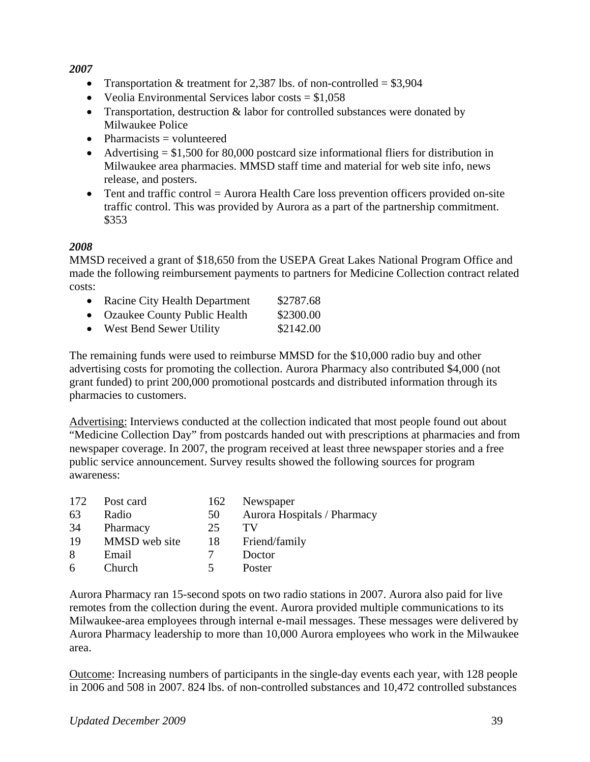#### *2007*

- Transportation & treatment for 2,387 lbs. of non-controlled =  $$3,904$
- Veolia Environmental Services labor costs  $= $1,058$
- Transportation, destruction  $\&$  labor for controlled substances were donated by Milwaukee Police
- Pharmacists  $=$  volunteered
- Advertising  $= $1,500$  for 80,000 postcard size informational fliers for distribution in Milwaukee area pharmacies. MMSD staff time and material for web site info, news release, and posters.
- Tent and traffic control = Aurora Health Care loss prevention officers provided on-site traffic control. This was provided by Aurora as a part of the partnership commitment. \$353

### *2008*

MMSD received a grant of \$18,650 from the USEPA Great Lakes National Program Office and made the following reimbursement payments to partners for Medicine Collection contract related costs:

- Racine City Health Department \$2787.68
- Ozaukee County Public Health \$2300.00
- West Bend Sewer Utility \$2142.00

The remaining funds were used to reimburse MMSD for the \$10,000 radio buy and other advertising costs for promoting the collection. Aurora Pharmacy also contributed \$4,000 (not grant funded) to print 200,000 promotional postcards and distributed information through its pharmacies to customers.

Advertising: Interviews conducted at the collection indicated that most people found out about "Medicine Collection Day" from postcards handed out with prescriptions at pharmacies and from newspaper coverage. In 2007, the program received at least three newspaper stories and a free public service announcement. Survey results showed the following sources for program awareness:

| 172 | Post card     | 162 | Newspaper                   |
|-----|---------------|-----|-----------------------------|
| 63  | Radio         | 50  | Aurora Hospitals / Pharmacy |
| 34  | Pharmacy      | 25  | TV                          |
| 19  | MMSD web site | 18  | Friend/family               |
| 8   | Email         |     | Doctor                      |
| 6   | Church        |     | Poster                      |

Aurora Pharmacy ran 15-second spots on two radio stations in 2007. Aurora also paid for live remotes from the collection during the event. Aurora provided multiple communications to its Milwaukee-area employees through internal e-mail messages. These messages were delivered by Aurora Pharmacy leadership to more than 10,000 Aurora employees who work in the Milwaukee area.

Outcome: Increasing numbers of participants in the single-day events each year, with 128 people in 2006 and 508 in 2007. 824 lbs. of non-controlled substances and 10,472 controlled substances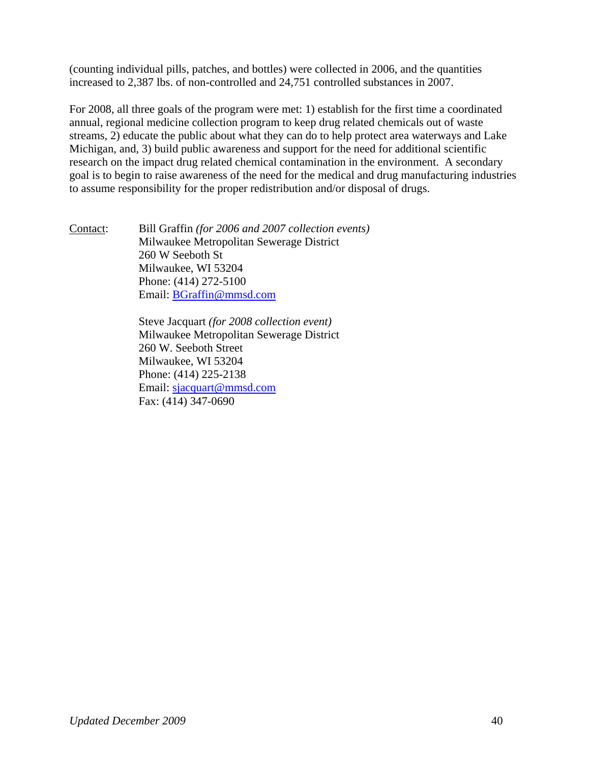(counting individual pills, patches, and bottles) were collected in 2006, and the quantities increased to 2,387 lbs. of non-controlled and 24,751 controlled substances in 2007.

For 2008, all three goals of the program were met: 1) establish for the first time a coordinated annual, regional medicine collection program to keep drug related chemicals out of waste streams, 2) educate the public about what they can do to help protect area waterways and Lake Michigan, and, 3) build public awareness and support for the need for additional scientific research on the impact drug related chemical contamination in the environment. A secondary goal is to begin to raise awareness of the need for the medical and drug manufacturing industries to assume responsibility for the proper redistribution and/or disposal of drugs.

Contact: Bill Graffin *(for 2006 and 2007 collection events)* Milwaukee Metropolitan Sewerage District 260 W Seeboth St Milwaukee, WI 53204 Phone: (414) 272-5100 Email: BGraffin@mmsd.com

> Steve Jacquart *(for 2008 collection event)* Milwaukee Metropolitan Sewerage District 260 W. Seeboth Street Milwaukee, WI 53204 Phone: (414) 225-2138 Email: sjacquart@mmsd.com Fax: (414) 347-0690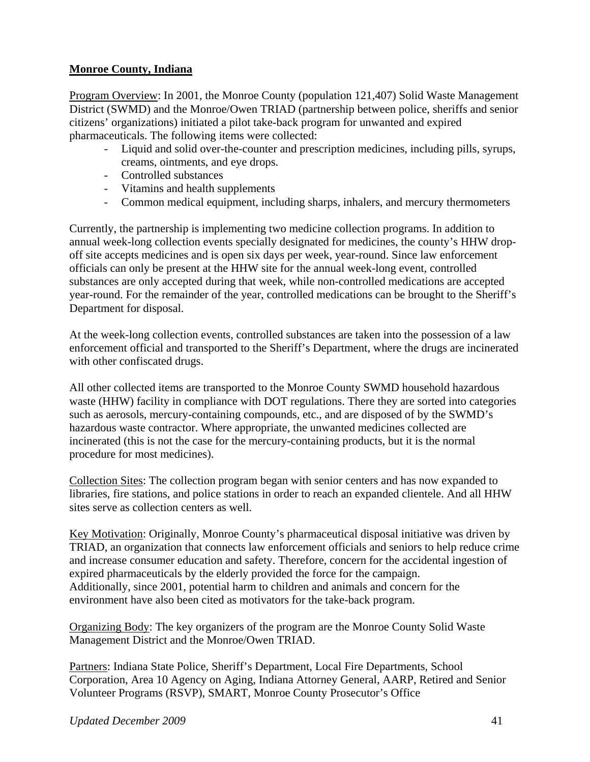### **Monroe County, Indiana**

Program Overview: In 2001, the Monroe County (population 121,407) Solid Waste Management District (SWMD) and the Monroe/Owen TRIAD (partnership between police, sheriffs and senior citizens' organizations) initiated a pilot take-back program for unwanted and expired pharmaceuticals. The following items were collected:

- Liquid and solid over-the-counter and prescription medicines, including pills, syrups, creams, ointments, and eye drops.
- Controlled substances
- Vitamins and health supplements
- Common medical equipment, including sharps, inhalers, and mercury thermometers

Currently, the partnership is implementing two medicine collection programs. In addition to annual week-long collection events specially designated for medicines, the county's HHW dropoff site accepts medicines and is open six days per week, year-round. Since law enforcement officials can only be present at the HHW site for the annual week-long event, controlled substances are only accepted during that week, while non-controlled medications are accepted year-round. For the remainder of the year, controlled medications can be brought to the Sheriff's Department for disposal.

At the week-long collection events, controlled substances are taken into the possession of a law enforcement official and transported to the Sheriff's Department, where the drugs are incinerated with other confiscated drugs.

All other collected items are transported to the Monroe County SWMD household hazardous waste (HHW) facility in compliance with DOT regulations. There they are sorted into categories such as aerosols, mercury-containing compounds, etc., and are disposed of by the SWMD's hazardous waste contractor. Where appropriate, the unwanted medicines collected are incinerated (this is not the case for the mercury-containing products, but it is the normal procedure for most medicines).

Collection Sites: The collection program began with senior centers and has now expanded to libraries, fire stations, and police stations in order to reach an expanded clientele. And all HHW sites serve as collection centers as well.

Key Motivation: Originally, Monroe County's pharmaceutical disposal initiative was driven by TRIAD, an organization that connects law enforcement officials and seniors to help reduce crime and increase consumer education and safety. Therefore, concern for the accidental ingestion of expired pharmaceuticals by the elderly provided the force for the campaign. Additionally, since 2001, potential harm to children and animals and concern for the environment have also been cited as motivators for the take-back program.

Organizing Body: The key organizers of the program are the Monroe County Solid Waste Management District and the Monroe/Owen TRIAD.

Partners: Indiana State Police, Sheriff's Department, Local Fire Departments, School Corporation, Area 10 Agency on Aging, Indiana Attorney General, AARP, Retired and Senior Volunteer Programs (RSVP), SMART, Monroe County Prosecutor's Office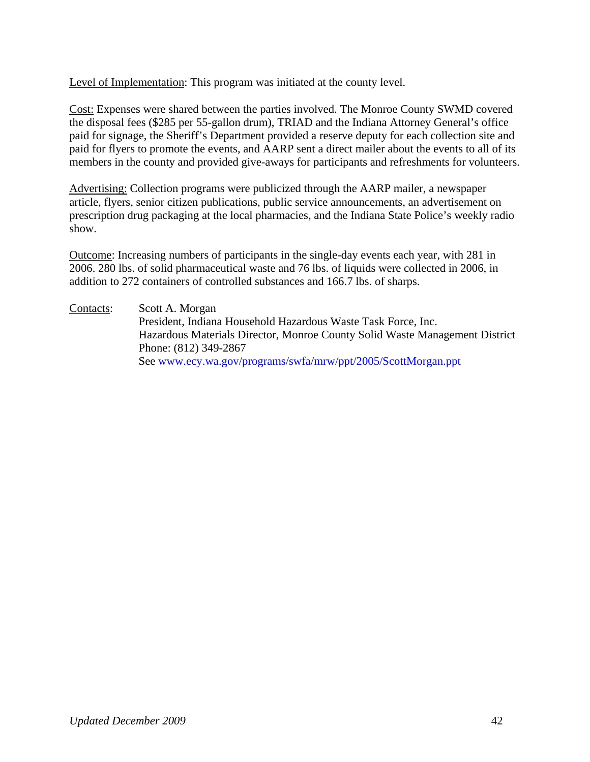Level of Implementation: This program was initiated at the county level.

Cost: Expenses were shared between the parties involved. The Monroe County SWMD covered the disposal fees (\$285 per 55-gallon drum), TRIAD and the Indiana Attorney General's office paid for signage, the Sheriff's Department provided a reserve deputy for each collection site and paid for flyers to promote the events, and AARP sent a direct mailer about the events to all of its members in the county and provided give-aways for participants and refreshments for volunteers.

Advertising: Collection programs were publicized through the AARP mailer, a newspaper article, flyers, senior citizen publications, public service announcements, an advertisement on prescription drug packaging at the local pharmacies, and the Indiana State Police's weekly radio show.

Outcome: Increasing numbers of participants in the single-day events each year, with 281 in 2006. 280 lbs. of solid pharmaceutical waste and 76 lbs. of liquids were collected in 2006, in addition to 272 containers of controlled substances and 166.7 lbs. of sharps.

Contacts: Scott A. Morgan President, Indiana Household Hazardous Waste Task Force, Inc. Hazardous Materials Director, Monroe County Solid Waste Management District Phone: (812) 349-2867 See www.ecy.wa.gov/programs/swfa/mrw/ppt/2005/ScottMorgan.ppt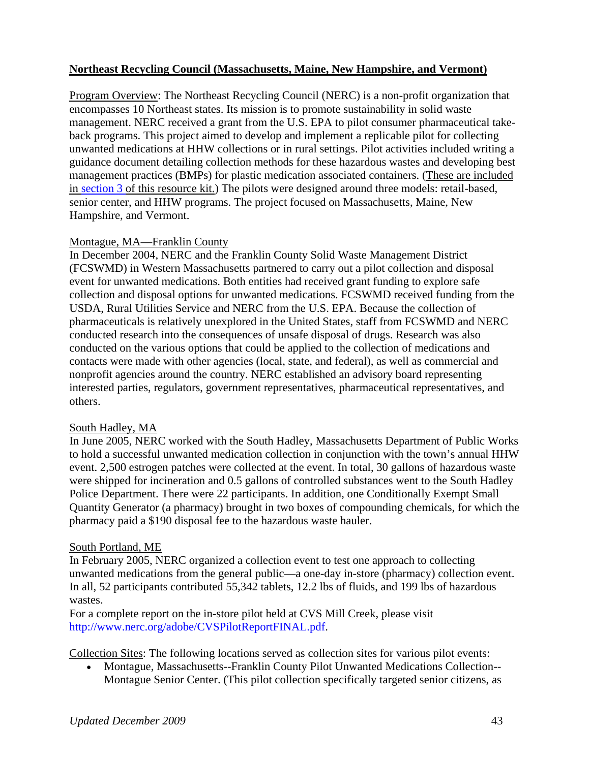### **Northeast Recycling Council (Massachusetts, Maine, New Hampshire, and Vermont)**

Program Overview: The Northeast Recycling Council (NERC) is a non-profit organization that encompasses 10 Northeast states. Its mission is to promote sustainability in solid waste management. NERC received a grant from the U.S. EPA to pilot consumer pharmaceutical takeback programs. This project aimed to develop and implement a replicable pilot for collecting unwanted medications at HHW collections or in rural settings. Pilot activities included writing a guidance document detailing collection methods for these hazardous wastes and developing best management practices (BMPs) for plastic medication associated containers. (These are included in section 3 of this resource kit.) The pilots were designed around three models: retail-based, senior center, and HHW programs. The project focused on Massachusetts, Maine, New Hampshire, and Vermont.

#### Montague, MA—Franklin County

In December 2004, NERC and the Franklin County Solid Waste Management District (FCSWMD) in Western Massachusetts partnered to carry out a pilot collection and disposal event for unwanted medications. Both entities had received grant funding to explore safe collection and disposal options for unwanted medications. FCSWMD received funding from the USDA, Rural Utilities Service and NERC from the U.S. EPA. Because the collection of pharmaceuticals is relatively unexplored in the United States, staff from FCSWMD and NERC conducted research into the consequences of unsafe disposal of drugs. Research was also conducted on the various options that could be applied to the collection of medications and contacts were made with other agencies (local, state, and federal), as well as commercial and nonprofit agencies around the country. NERC established an advisory board representing interested parties, regulators, government representatives, pharmaceutical representatives, and others.

#### South Hadley, MA

In June 2005, NERC worked with the South Hadley, Massachusetts Department of Public Works to hold a successful unwanted medication collection in conjunction with the town's annual HHW event. 2,500 estrogen patches were collected at the event. In total, 30 gallons of hazardous waste were shipped for incineration and 0.5 gallons of controlled substances went to the South Hadley Police Department. There were 22 participants. In addition, one Conditionally Exempt Small Quantity Generator (a pharmacy) brought in two boxes of compounding chemicals, for which the pharmacy paid a \$190 disposal fee to the hazardous waste hauler.

#### South Portland, ME

In February 2005, NERC organized a collection event to test one approach to collecting unwanted medications from the general public—a one-day in-store (pharmacy) collection event. In all, 52 participants contributed 55,342 tablets, 12.2 lbs of fluids, and 199 lbs of hazardous wastes.

For a complete report on the in-store pilot held at CVS Mill Creek, please visit http://www.nerc.org/adobe/CVSPilotReportFINAL.pdf.

Collection Sites: The following locations served as collection sites for various pilot events:

• Montague, Massachusetts--Franklin County Pilot Unwanted Medications Collection-- Montague Senior Center. (This pilot collection specifically targeted senior citizens, as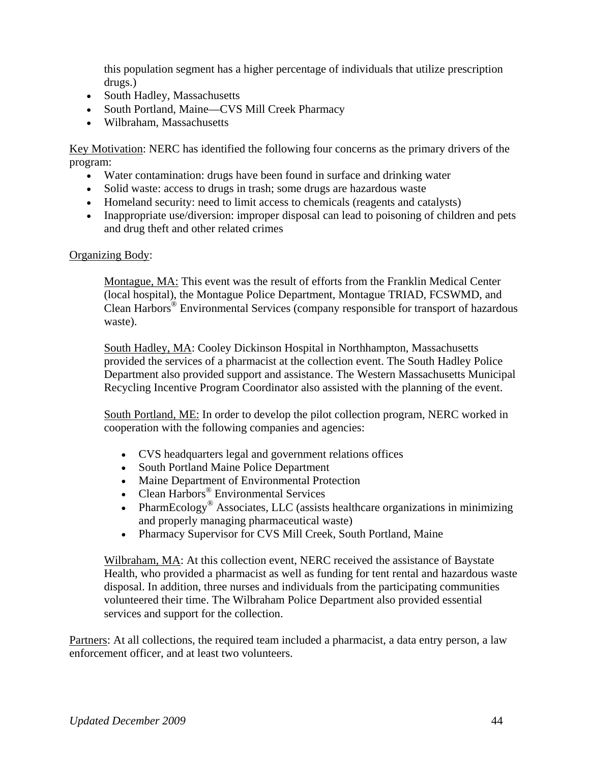this population segment has a higher percentage of individuals that utilize prescription drugs.)

- South Hadley, Massachusetts
- South Portland, Maine—CVS Mill Creek Pharmacy
- Wilbraham, Massachusetts

Key Motivation: NERC has identified the following four concerns as the primary drivers of the program:

- Water contamination: drugs have been found in surface and drinking water
- Solid waste: access to drugs in trash; some drugs are hazardous waste
- Homeland security: need to limit access to chemicals (reagents and catalysts)
- Inappropriate use/diversion: improper disposal can lead to poisoning of children and pets and drug theft and other related crimes

#### Organizing Body:

Montague, MA: This event was the result of efforts from the Franklin Medical Center (local hospital), the Montague Police Department, Montague TRIAD, FCSWMD, and Clean Harbors® Environmental Services (company responsible for transport of hazardous waste).

South Hadley, MA: Cooley Dickinson Hospital in Northhampton, Massachusetts provided the services of a pharmacist at the collection event. The South Hadley Police Department also provided support and assistance. The Western Massachusetts Municipal Recycling Incentive Program Coordinator also assisted with the planning of the event.

South Portland, ME: In order to develop the pilot collection program, NERC worked in cooperation with the following companies and agencies:

- CVS headquarters legal and government relations offices
- South Portland Maine Police Department
- Maine Department of Environmental Protection
- Clean Harbors<sup>®</sup> Environmental Services
- PharmEcology<sup>®</sup> Associates, LLC (assists healthcare organizations in minimizing and properly managing pharmaceutical waste)
- Pharmacy Supervisor for CVS Mill Creek, South Portland, Maine

Wilbraham, MA: At this collection event, NERC received the assistance of Baystate Health, who provided a pharmacist as well as funding for tent rental and hazardous waste disposal. In addition, three nurses and individuals from the participating communities volunteered their time. The Wilbraham Police Department also provided essential services and support for the collection.

Partners: At all collections, the required team included a pharmacist, a data entry person, a law enforcement officer, and at least two volunteers.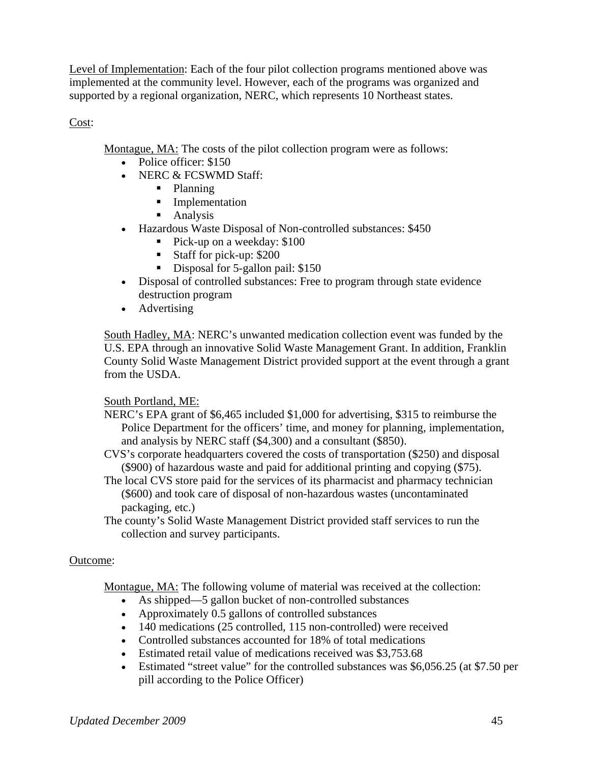Level of Implementation: Each of the four pilot collection programs mentioned above was implemented at the community level. However, each of the programs was organized and supported by a regional organization, NERC, which represents 10 Northeast states.

Cost:

Montague, MA: The costs of the pilot collection program were as follows:

- Police officer: \$150
- NERC & FCSWMD Staff:
	- Planning
	- **Implementation**
	- **Analysis**
- Hazardous Waste Disposal of Non-controlled substances: \$450
	- Pick-up on a weekday: \$100
	- Staff for pick-up: \$200
	- Disposal for 5-gallon pail: \$150
- Disposal of controlled substances: Free to program through state evidence destruction program
- Advertising

South Hadley, MA: NERC's unwanted medication collection event was funded by the U.S. EPA through an innovative Solid Waste Management Grant. In addition, Franklin County Solid Waste Management District provided support at the event through a grant from the USDA.

### South Portland, ME:

- NERC's EPA grant of \$6,465 included \$1,000 for advertising, \$315 to reimburse the Police Department for the officers' time, and money for planning, implementation, and analysis by NERC staff (\$4,300) and a consultant (\$850).
- CVS's corporate headquarters covered the costs of transportation (\$250) and disposal (\$900) of hazardous waste and paid for additional printing and copying (\$75).
- The local CVS store paid for the services of its pharmacist and pharmacy technician (\$600) and took care of disposal of non-hazardous wastes (uncontaminated packaging, etc.)
- The county's Solid Waste Management District provided staff services to run the collection and survey participants.

### Outcome:

Montague, MA: The following volume of material was received at the collection:

- As shipped—5 gallon bucket of non-controlled substances
- Approximately 0.5 gallons of controlled substances
- 140 medications (25 controlled, 115 non-controlled) were received
- Controlled substances accounted for 18% of total medications
- Estimated retail value of medications received was \$3,753.68
- Estimated "street value" for the controlled substances was \$6,056.25 (at \$7.50 per pill according to the Police Officer)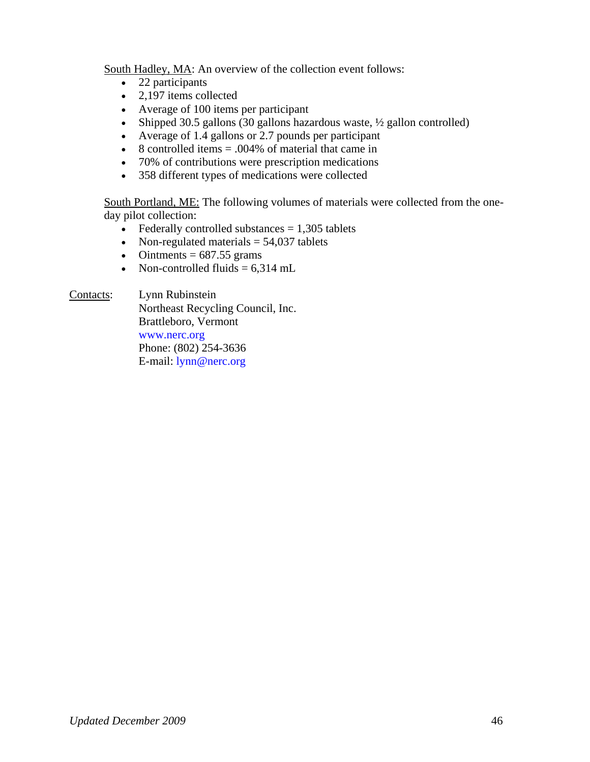South Hadley, MA: An overview of the collection event follows:

- 22 participants
- 2,197 items collected
- Average of 100 items per participant
- Shipped 30.5 gallons (30 gallons hazardous waste,  $\frac{1}{2}$  gallon controlled)
- Average of 1.4 gallons or 2.7 pounds per participant
- 8 controlled items  $= .004\%$  of material that came in
- 70% of contributions were prescription medications
- 358 different types of medications were collected

South Portland, ME: The following volumes of materials were collected from the oneday pilot collection:

- Federally controlled substances  $= 1,305$  tablets
- Non-regulated materials  $= 54,037$  tablets
- Ointments  $= 687.55$  grams
- Non-controlled fluids  $= 6,314$  mL

Contacts: Lynn Rubinstein

 Northeast Recycling Council, Inc. Brattleboro, Vermont www.nerc.org Phone: (802) 254-3636 E-mail: lynn@nerc.org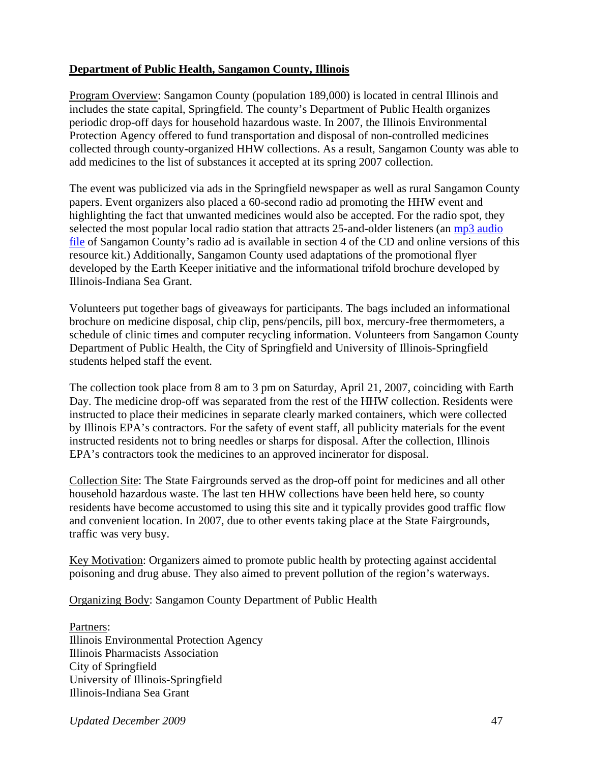### **Department of Public Health, Sangamon County, Illinois**

Program Overview: Sangamon County (population 189,000) is located in central Illinois and includes the state capital, Springfield. The county's Department of Public Health organizes periodic drop-off days for household hazardous waste. In 2007, the Illinois Environmental Protection Agency offered to fund transportation and disposal of non-controlled medicines collected through county-organized HHW collections. As a result, Sangamon County was able to add medicines to the list of substances it accepted at its spring 2007 collection.

The event was publicized via ads in the Springfield newspaper as well as rural Sangamon County papers. Event organizers also placed a 60-second radio ad promoting the HHW event and highlighting the fact that unwanted medicines would also be accepted. For the radio spot, they selected the most popular local radio station that attracts 25-and-older listeners (an mp3 audio file of Sangamon County's radio ad is available in section 4 of the CD and online versions of this resource kit.) Additionally, Sangamon County used adaptations of the promotional flyer developed by the Earth Keeper initiative and the informational trifold brochure developed by Illinois-Indiana Sea Grant.

Volunteers put together bags of giveaways for participants. The bags included an informational brochure on medicine disposal, chip clip, pens/pencils, pill box, mercury-free thermometers, a schedule of clinic times and computer recycling information. Volunteers from Sangamon County Department of Public Health, the City of Springfield and University of Illinois-Springfield students helped staff the event.

The collection took place from 8 am to 3 pm on Saturday, April 21, 2007, coinciding with Earth Day. The medicine drop-off was separated from the rest of the HHW collection. Residents were instructed to place their medicines in separate clearly marked containers, which were collected by Illinois EPA's contractors. For the safety of event staff, all publicity materials for the event instructed residents not to bring needles or sharps for disposal. After the collection, Illinois EPA's contractors took the medicines to an approved incinerator for disposal.

Collection Site: The State Fairgrounds served as the drop-off point for medicines and all other household hazardous waste. The last ten HHW collections have been held here, so county residents have become accustomed to using this site and it typically provides good traffic flow and convenient location. In 2007, due to other events taking place at the State Fairgrounds, traffic was very busy.

Key Motivation: Organizers aimed to promote public health by protecting against accidental poisoning and drug abuse. They also aimed to prevent pollution of the region's waterways.

Organizing Body: Sangamon County Department of Public Health

Partners: Illinois Environmental Protection Agency Illinois Pharmacists Association City of Springfield University of Illinois-Springfield Illinois-Indiana Sea Grant

*Updated December 2009* 47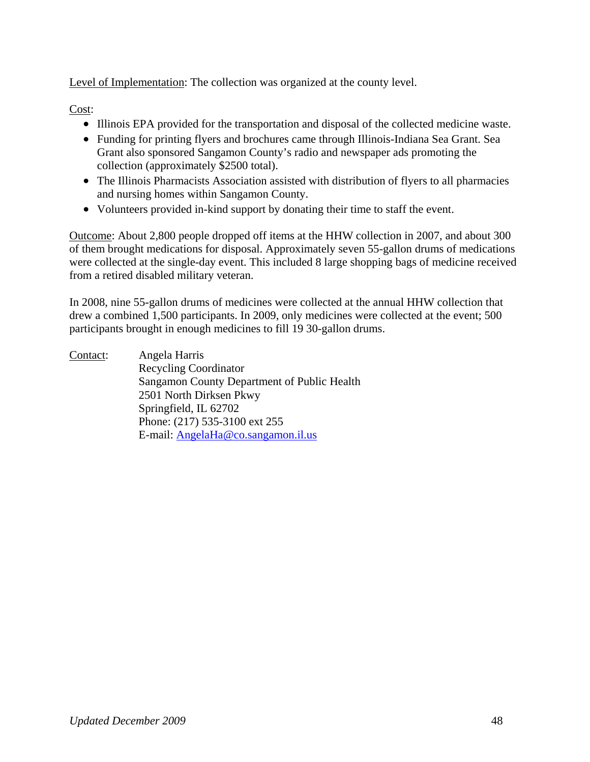Level of Implementation: The collection was organized at the county level.

Cost:

- Illinois EPA provided for the transportation and disposal of the collected medicine waste.
- Funding for printing flyers and brochures came through Illinois-Indiana Sea Grant. Sea Grant also sponsored Sangamon County's radio and newspaper ads promoting the collection (approximately \$2500 total).
- The Illinois Pharmacists Association assisted with distribution of flyers to all pharmacies and nursing homes within Sangamon County.
- Volunteers provided in-kind support by donating their time to staff the event.

Outcome: About 2,800 people dropped off items at the HHW collection in 2007, and about 300 of them brought medications for disposal. Approximately seven 55-gallon drums of medications were collected at the single-day event. This included 8 large shopping bags of medicine received from a retired disabled military veteran.

In 2008, nine 55-gallon drums of medicines were collected at the annual HHW collection that drew a combined 1,500 participants. In 2009, only medicines were collected at the event; 500 participants brought in enough medicines to fill 19 30-gallon drums.

Contact: Angela Harris Recycling Coordinator Sangamon County Department of Public Health 2501 North Dirksen Pkwy Springfield, IL 62702 Phone: (217) 535-3100 ext 255 E-mail: AngelaHa@co.sangamon.il.us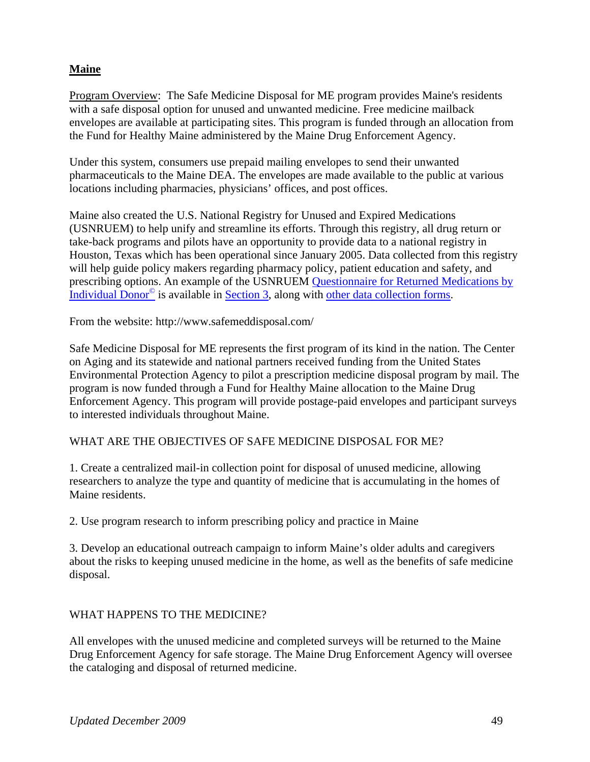### **Maine**

Program Overview: The Safe Medicine Disposal for ME program provides Maine's residents with a safe disposal option for unused and unwanted medicine. Free medicine mailback envelopes are available at participating sites. This program is funded through an allocation from the Fund for Healthy Maine administered by the Maine Drug Enforcement Agency.

Under this system, consumers use prepaid mailing envelopes to send their unwanted pharmaceuticals to the Maine DEA. The envelopes are made available to the public at various locations including pharmacies, physicians' offices, and post offices.

Maine also created the U.S. National Registry for Unused and Expired Medications (USNRUEM) to help unify and streamline its efforts. Through this registry, all drug return or take-back programs and pilots have an opportunity to provide data to a national registry in Houston, Texas which has been operational since January 2005. Data collected from this registry will help guide policy makers regarding pharmacy policy, patient education and safety, and prescribing options. An example of the USNRUEM Questionnaire for Returned Medications by Individual Donor© is available in Section 3, along with other data collection forms.

From the website: http://www.safemeddisposal.com/

Safe Medicine Disposal for ME represents the first program of its kind in the nation. The Center on Aging and its statewide and national partners received funding from the United States Environmental Protection Agency to pilot a prescription medicine disposal program by mail. The program is now funded through a Fund for Healthy Maine allocation to the Maine Drug Enforcement Agency. This program will provide postage-paid envelopes and participant surveys to interested individuals throughout Maine.

### WHAT ARE THE OBJECTIVES OF SAFE MEDICINE DISPOSAL FOR ME?

1. Create a centralized mail-in collection point for disposal of unused medicine, allowing researchers to analyze the type and quantity of medicine that is accumulating in the homes of Maine residents.

2. Use program research to inform prescribing policy and practice in Maine

3. Develop an educational outreach campaign to inform Maine's older adults and caregivers about the risks to keeping unused medicine in the home, as well as the benefits of safe medicine disposal.

### WHAT HAPPENS TO THE MEDICINE?

All envelopes with the unused medicine and completed surveys will be returned to the Maine Drug Enforcement Agency for safe storage. The Maine Drug Enforcement Agency will oversee the cataloging and disposal of returned medicine.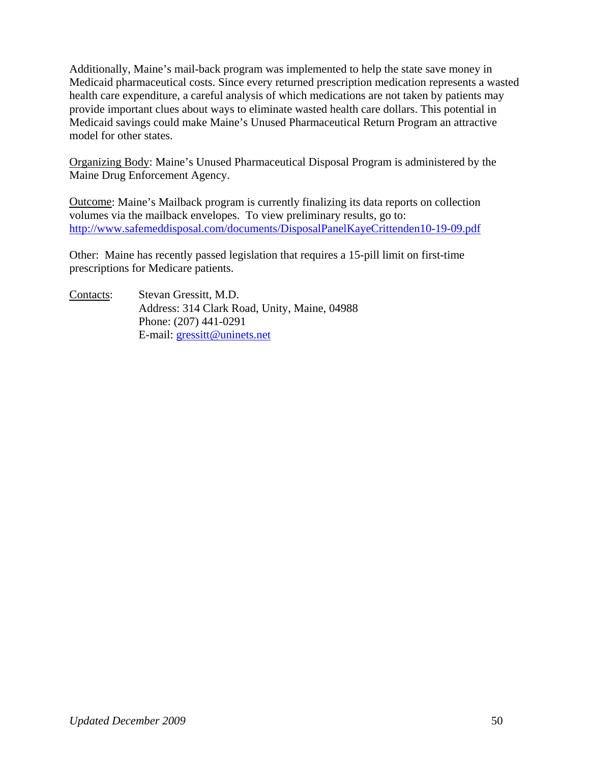Additionally, Maine's mail-back program was implemented to help the state save money in Medicaid pharmaceutical costs. Since every returned prescription medication represents a wasted health care expenditure, a careful analysis of which medications are not taken by patients may provide important clues about ways to eliminate wasted health care dollars. This potential in Medicaid savings could make Maine's Unused Pharmaceutical Return Program an attractive model for other states.

Organizing Body: Maine's Unused Pharmaceutical Disposal Program is administered by the Maine Drug Enforcement Agency.

Outcome: Maine's Mailback program is currently finalizing its data reports on collection volumes via the mailback envelopes. To view preliminary results, go to: http://www.safemeddisposal.com/documents/DisposalPanelKayeCrittenden10-19-09.pdf

Other: Maine has recently passed legislation that requires a 15-pill limit on first-time prescriptions for Medicare patients.

Contacts: Stevan Gressitt, M.D. Address: 314 Clark Road, Unity, Maine, 04988 Phone: (207) 441-0291 E-mail: gressitt@uninets.net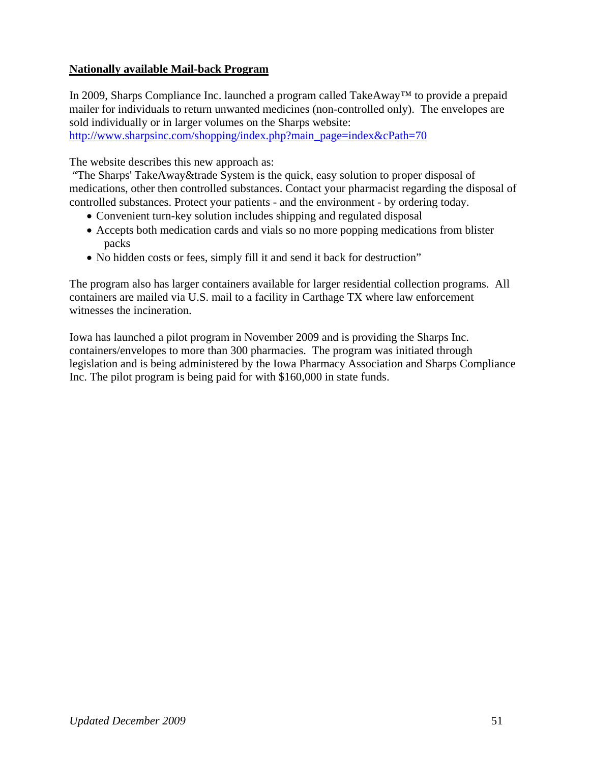### **Nationally available Mail-back Program**

In 2009, Sharps Compliance Inc. launched a program called TakeAway™ to provide a prepaid mailer for individuals to return unwanted medicines (non-controlled only). The envelopes are sold individually or in larger volumes on the Sharps website:

http://www.sharpsinc.com/shopping/index.php?main\_page=index&cPath=70

The website describes this new approach as:

 "The Sharps' TakeAway&trade System is the quick, easy solution to proper disposal of medications, other then controlled substances. Contact your pharmacist regarding the disposal of controlled substances. Protect your patients - and the environment - by ordering today.

- Convenient turn-key solution includes shipping and regulated disposal
- Accepts both medication cards and vials so no more popping medications from blister packs
- No hidden costs or fees, simply fill it and send it back for destruction"

The program also has larger containers available for larger residential collection programs. All containers are mailed via U.S. mail to a facility in Carthage TX where law enforcement witnesses the incineration.

Iowa has launched a pilot program in November 2009 and is providing the Sharps Inc. containers/envelopes to more than 300 pharmacies. The program was initiated through legislation and is being administered by the Iowa Pharmacy Association and Sharps Compliance Inc. The pilot program is being paid for with \$160,000 in state funds.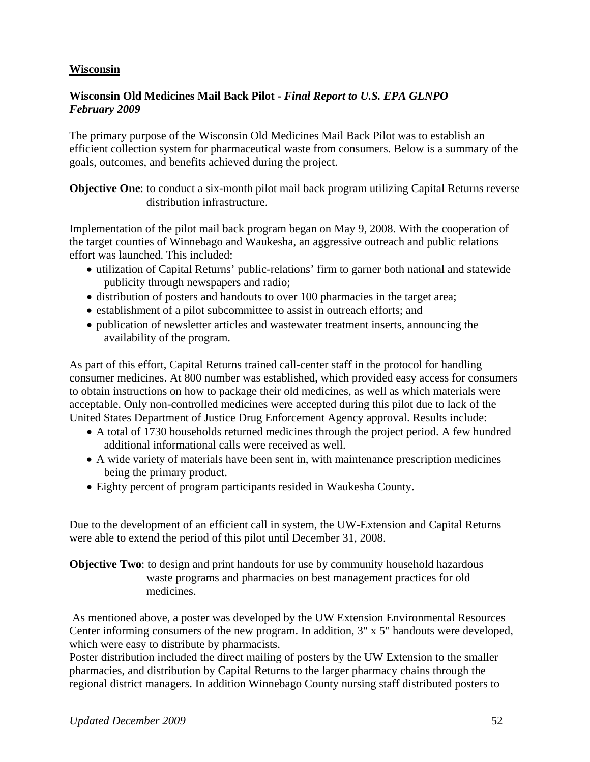### **Wisconsin**

#### **Wisconsin Old Medicines Mail Back Pilot -** *Final Report to U.S. EPA GLNPO February 2009*

The primary purpose of the Wisconsin Old Medicines Mail Back Pilot was to establish an efficient collection system for pharmaceutical waste from consumers. Below is a summary of the goals, outcomes, and benefits achieved during the project.

**Objective One**: to conduct a six-month pilot mail back program utilizing Capital Returns reverse distribution infrastructure.

Implementation of the pilot mail back program began on May 9, 2008. With the cooperation of the target counties of Winnebago and Waukesha, an aggressive outreach and public relations effort was launched. This included:

- utilization of Capital Returns' public-relations' firm to garner both national and statewide publicity through newspapers and radio;
- distribution of posters and handouts to over 100 pharmacies in the target area;
- establishment of a pilot subcommittee to assist in outreach efforts; and
- publication of newsletter articles and wastewater treatment inserts, announcing the availability of the program.

As part of this effort, Capital Returns trained call-center staff in the protocol for handling consumer medicines. At 800 number was established, which provided easy access for consumers to obtain instructions on how to package their old medicines, as well as which materials were acceptable. Only non-controlled medicines were accepted during this pilot due to lack of the United States Department of Justice Drug Enforcement Agency approval. Results include:

- A total of 1730 households returned medicines through the project period. A few hundred additional informational calls were received as well.
- A wide variety of materials have been sent in, with maintenance prescription medicines being the primary product.
- Eighty percent of program participants resided in Waukesha County.

Due to the development of an efficient call in system, the UW-Extension and Capital Returns were able to extend the period of this pilot until December 31, 2008.

#### **Objective Two**: to design and print handouts for use by community household hazardous waste programs and pharmacies on best management practices for old medicines.

 As mentioned above, a poster was developed by the UW Extension Environmental Resources Center informing consumers of the new program. In addition, 3" x 5" handouts were developed, which were easy to distribute by pharmacists.

Poster distribution included the direct mailing of posters by the UW Extension to the smaller pharmacies, and distribution by Capital Returns to the larger pharmacy chains through the regional district managers. In addition Winnebago County nursing staff distributed posters to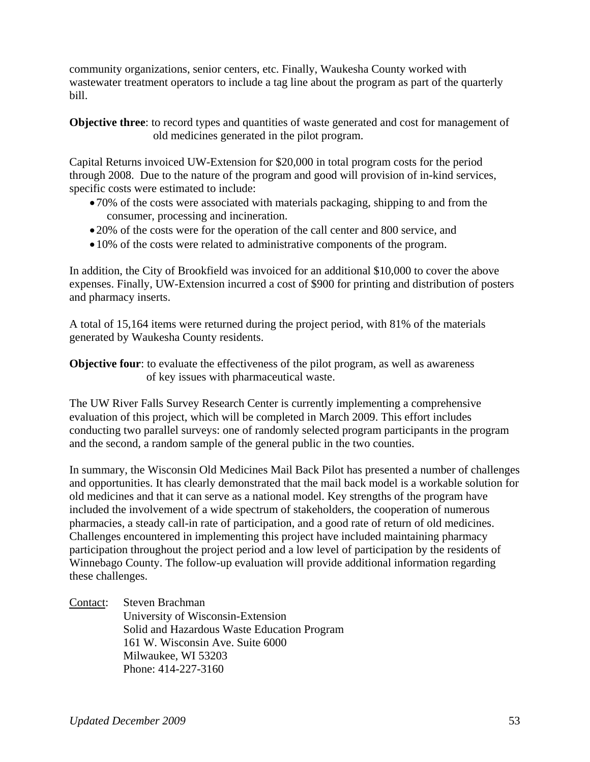community organizations, senior centers, etc. Finally, Waukesha County worked with wastewater treatment operators to include a tag line about the program as part of the quarterly bill.

**Objective three:** to record types and quantities of waste generated and cost for management of old medicines generated in the pilot program.

Capital Returns invoiced UW-Extension for \$20,000 in total program costs for the period through 2008. Due to the nature of the program and good will provision of in-kind services, specific costs were estimated to include:

- •70% of the costs were associated with materials packaging, shipping to and from the consumer, processing and incineration.
- •20% of the costs were for the operation of the call center and 800 service, and
- •10% of the costs were related to administrative components of the program.

In addition, the City of Brookfield was invoiced for an additional \$10,000 to cover the above expenses. Finally, UW-Extension incurred a cost of \$900 for printing and distribution of posters and pharmacy inserts.

A total of 15,164 items were returned during the project period, with 81% of the materials generated by Waukesha County residents.

**Objective four:** to evaluate the effectiveness of the pilot program, as well as awareness of key issues with pharmaceutical waste.

The UW River Falls Survey Research Center is currently implementing a comprehensive evaluation of this project, which will be completed in March 2009. This effort includes conducting two parallel surveys: one of randomly selected program participants in the program and the second, a random sample of the general public in the two counties.

In summary, the Wisconsin Old Medicines Mail Back Pilot has presented a number of challenges and opportunities. It has clearly demonstrated that the mail back model is a workable solution for old medicines and that it can serve as a national model. Key strengths of the program have included the involvement of a wide spectrum of stakeholders, the cooperation of numerous pharmacies, a steady call-in rate of participation, and a good rate of return of old medicines. Challenges encountered in implementing this project have included maintaining pharmacy participation throughout the project period and a low level of participation by the residents of Winnebago County. The follow-up evaluation will provide additional information regarding these challenges.

Contact: Steven Brachman University of Wisconsin-Extension Solid and Hazardous Waste Education Program 161 W. Wisconsin Ave. Suite 6000 Milwaukee, WI 53203 Phone: 414-227-3160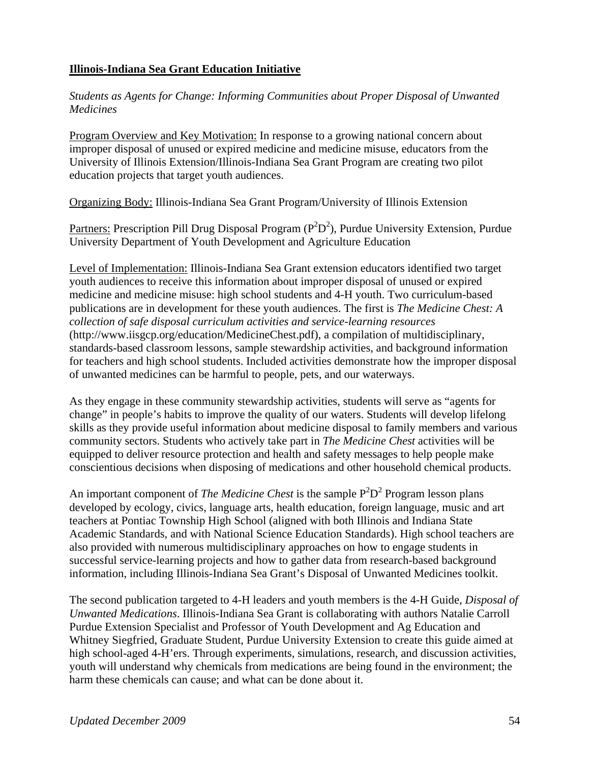### **Illinois-Indiana Sea Grant Education Initiative**

*Students as Agents for Change: Informing Communities about Proper Disposal of Unwanted Medicines* 

Program Overview and Key Motivation: In response to a growing national concern about improper disposal of unused or expired medicine and medicine misuse, educators from the University of Illinois Extension/Illinois-Indiana Sea Grant Program are creating two pilot education projects that target youth audiences.

Organizing Body: Illinois-Indiana Sea Grant Program/University of Illinois Extension

Partners: Prescription Pill Drug Disposal Program ( $P^2D^2$ ), Purdue University Extension, Purdue University Department of Youth Development and Agriculture Education

Level of Implementation: Illinois-Indiana Sea Grant extension educators identified two target youth audiences to receive this information about improper disposal of unused or expired medicine and medicine misuse: high school students and 4-H youth. Two curriculum-based publications are in development for these youth audiences. The first is *The Medicine Chest: A collection of safe disposal curriculum activities and service-learning resources*  (http://www.iisgcp.org/education/MedicineChest.pdf), a compilation of multidisciplinary, standards-based classroom lessons, sample stewardship activities, and background information for teachers and high school students. Included activities demonstrate how the improper disposal of unwanted medicines can be harmful to people, pets, and our waterways.

As they engage in these community stewardship activities, students will serve as "agents for change" in people's habits to improve the quality of our waters. Students will develop lifelong skills as they provide useful information about medicine disposal to family members and various community sectors. Students who actively take part in *The Medicine Chest* activities will be equipped to deliver resource protection and health and safety messages to help people make conscientious decisions when disposing of medications and other household chemical products.

An important component of *The Medicine Chest* is the sample  $P^2D^2$  Program lesson plans developed by ecology, civics, language arts, health education, foreign language, music and art teachers at Pontiac Township High School (aligned with both Illinois and Indiana State Academic Standards, and with National Science Education Standards). High school teachers are also provided with numerous multidisciplinary approaches on how to engage students in successful service-learning projects and how to gather data from research-based background information, including Illinois-Indiana Sea Grant's Disposal of Unwanted Medicines toolkit.

The second publication targeted to 4-H leaders and youth members is the 4-H Guide, *Disposal of Unwanted Medications*. Illinois-Indiana Sea Grant is collaborating with authors Natalie Carroll Purdue Extension Specialist and Professor of Youth Development and Ag Education and Whitney Siegfried, Graduate Student, Purdue University Extension to create this guide aimed at high school-aged 4-H'ers. Through experiments, simulations, research, and discussion activities, youth will understand why chemicals from medications are being found in the environment; the harm these chemicals can cause; and what can be done about it.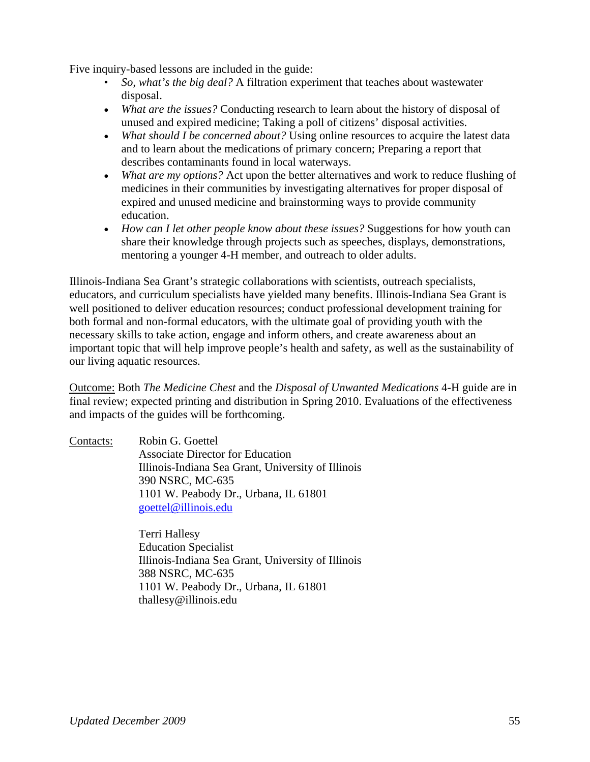Five inquiry-based lessons are included in the guide:

- *So, what's the big deal?* A filtration experiment that teaches about wastewater disposal.
- *What are the issues?* Conducting research to learn about the history of disposal of unused and expired medicine; Taking a poll of citizens' disposal activities.
- *What should I be concerned about?* Using online resources to acquire the latest data and to learn about the medications of primary concern; Preparing a report that describes contaminants found in local waterways.
- *What are my options?* Act upon the better alternatives and work to reduce flushing of medicines in their communities by investigating alternatives for proper disposal of expired and unused medicine and brainstorming ways to provide community education.
- *How can I let other people know about these issues?* Suggestions for how youth can share their knowledge through projects such as speeches, displays, demonstrations, mentoring a younger 4-H member, and outreach to older adults.

Illinois-Indiana Sea Grant's strategic collaborations with scientists, outreach specialists, educators, and curriculum specialists have yielded many benefits. Illinois-Indiana Sea Grant is well positioned to deliver education resources; conduct professional development training for both formal and non-formal educators, with the ultimate goal of providing youth with the necessary skills to take action, engage and inform others, and create awareness about an important topic that will help improve people's health and safety, as well as the sustainability of our living aquatic resources.

Outcome: Both *The Medicine Chest* and the *Disposal of Unwanted Medications* 4-H guide are in final review; expected printing and distribution in Spring 2010. Evaluations of the effectiveness and impacts of the guides will be forthcoming.

Contacts: Robin G. Goettel Associate Director for Education Illinois-Indiana Sea Grant, University of Illinois 390 NSRC, MC-635 1101 W. Peabody Dr., Urbana, IL 61801 goettel@illinois.edu

> Terri Hallesy Education Specialist Illinois-Indiana Sea Grant, University of Illinois 388 NSRC, MC-635 1101 W. Peabody Dr., Urbana, IL 61801 thallesy@illinois.edu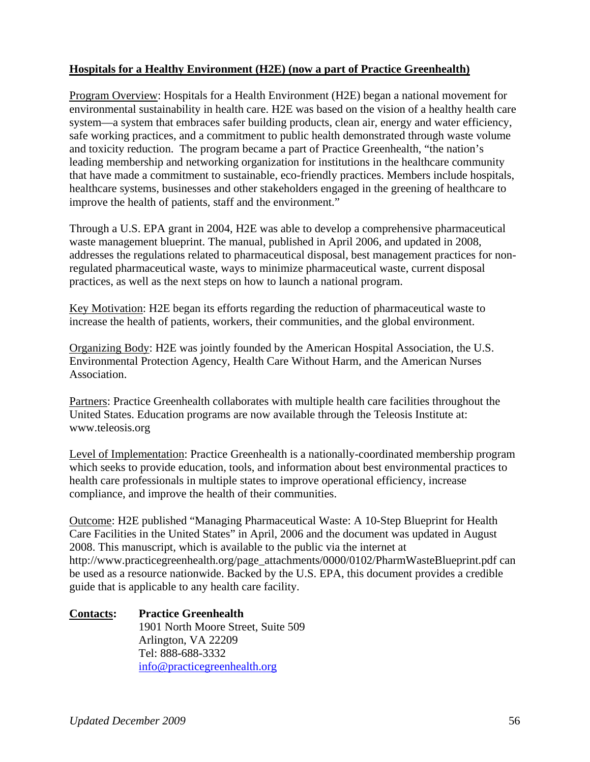### **Hospitals for a Healthy Environment (H2E) (now a part of Practice Greenhealth)**

Program Overview: Hospitals for a Health Environment (H2E) began a national movement for environmental sustainability in health care. H2E was based on the vision of a healthy health care system—a system that embraces safer building products, clean air, energy and water efficiency, safe working practices, and a commitment to public health demonstrated through waste volume and toxicity reduction. The program became a part of Practice Greenhealth, "the nation's leading membership and networking organization for institutions in the healthcare community that have made a commitment to sustainable, eco-friendly practices. Members include hospitals, healthcare systems, businesses and other stakeholders engaged in the greening of healthcare to improve the health of patients, staff and the environment."

Through a U.S. EPA grant in 2004, H2E was able to develop a comprehensive pharmaceutical waste management blueprint. The manual, published in April 2006, and updated in 2008, addresses the regulations related to pharmaceutical disposal, best management practices for nonregulated pharmaceutical waste, ways to minimize pharmaceutical waste, current disposal practices, as well as the next steps on how to launch a national program.

Key Motivation: H2E began its efforts regarding the reduction of pharmaceutical waste to increase the health of patients, workers, their communities, and the global environment.

Organizing Body: H2E was jointly founded by the American Hospital Association, the U.S. Environmental Protection Agency, Health Care Without Harm, and the American Nurses Association.

Partners: Practice Greenhealth collaborates with multiple health care facilities throughout the United States. Education programs are now available through the Teleosis Institute at: www.teleosis.org

Level of Implementation: Practice Greenhealth is a nationally-coordinated membership program which seeks to provide education, tools, and information about best environmental practices to health care professionals in multiple states to improve operational efficiency, increase compliance, and improve the health of their communities.

Outcome: H2E published "Managing Pharmaceutical Waste: A 10-Step Blueprint for Health Care Facilities in the United States" in April, 2006 and the document was updated in August 2008. This manuscript, which is available to the public via the internet at http://www.practicegreenhealth.org/page\_attachments/0000/0102/PharmWasteBlueprint.pdf can be used as a resource nationwide. Backed by the U.S. EPA, this document provides a credible guide that is applicable to any health care facility.

#### **Contacts: Practice Greenhealth**  1901 North Moore Street, Suite 509 Arlington, VA 22209 Tel: 888-688-3332 info@practicegreenhealth.org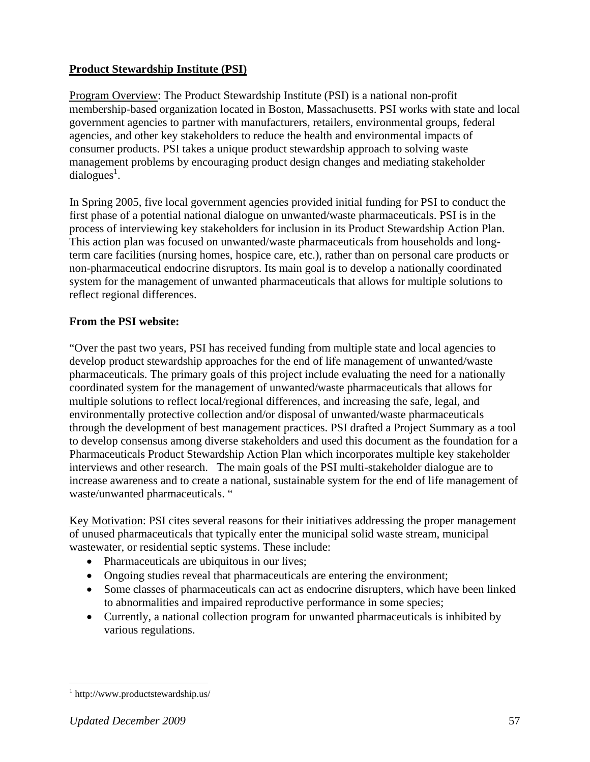### **Product Stewardship Institute (PSI)**

Program Overview: The Product Stewardship Institute (PSI) is a national non-profit membership-based organization located in Boston, Massachusetts. PSI works with state and local government agencies to partner with manufacturers, retailers, environmental groups, federal agencies, and other key stakeholders to reduce the health and environmental impacts of consumer products. PSI takes a unique product stewardship approach to solving waste management problems by encouraging product design changes and mediating stakeholder  $dialogues<sup>1</sup>$ .

In Spring 2005, five local government agencies provided initial funding for PSI to conduct the first phase of a potential national dialogue on unwanted/waste pharmaceuticals. PSI is in the process of interviewing key stakeholders for inclusion in its Product Stewardship Action Plan. This action plan was focused on unwanted/waste pharmaceuticals from households and longterm care facilities (nursing homes, hospice care, etc.), rather than on personal care products or non-pharmaceutical endocrine disruptors. Its main goal is to develop a nationally coordinated system for the management of unwanted pharmaceuticals that allows for multiple solutions to reflect regional differences.

### **From the PSI website:**

"Over the past two years, PSI has received funding from multiple state and local agencies to develop product stewardship approaches for the end of life management of unwanted/waste pharmaceuticals. The primary goals of this project include evaluating the need for a nationally coordinated system for the management of unwanted/waste pharmaceuticals that allows for multiple solutions to reflect local/regional differences, and increasing the safe, legal, and environmentally protective collection and/or disposal of unwanted/waste pharmaceuticals through the development of best management practices. PSI drafted a Project Summary as a tool to develop consensus among diverse stakeholders and used this document as the foundation for a Pharmaceuticals Product Stewardship Action Plan which incorporates multiple key stakeholder interviews and other research. The main goals of the PSI multi-stakeholder dialogue are to increase awareness and to create a national, sustainable system for the end of life management of waste/unwanted pharmaceuticals. "

Key Motivation: PSI cites several reasons for their initiatives addressing the proper management of unused pharmaceuticals that typically enter the municipal solid waste stream, municipal wastewater, or residential septic systems. These include:

- Pharmaceuticals are ubiquitous in our lives;
- Ongoing studies reveal that pharmaceuticals are entering the environment;
- Some classes of pharmaceuticals can act as endocrine disrupters, which have been linked to abnormalities and impaired reproductive performance in some species;
- Currently, a national collection program for unwanted pharmaceuticals is inhibited by various regulations.

 1 http://www.productstewardship.us/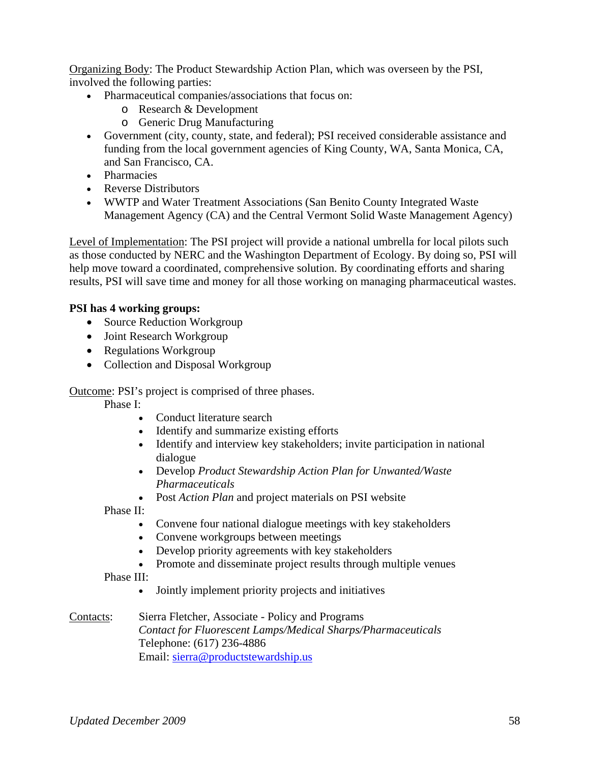Organizing Body: The Product Stewardship Action Plan, which was overseen by the PSI, involved the following parties:

- Pharmaceutical companies/associations that focus on:
	- o Research & Development
	- o Generic Drug Manufacturing
- Government (city, county, state, and federal); PSI received considerable assistance and funding from the local government agencies of King County, WA, Santa Monica, CA, and San Francisco, CA.
- Pharmacies
- Reverse Distributors
- WWTP and Water Treatment Associations (San Benito County Integrated Waste Management Agency (CA) and the Central Vermont Solid Waste Management Agency)

Level of Implementation: The PSI project will provide a national umbrella for local pilots such as those conducted by NERC and the Washington Department of Ecology. By doing so, PSI will help move toward a coordinated, comprehensive solution. By coordinating efforts and sharing results, PSI will save time and money for all those working on managing pharmaceutical wastes.

### **PSI has 4 working groups:**

- Source Reduction Workgroup
- Joint Research Workgroup
- Regulations Workgroup
- Collection and Disposal Workgroup

Outcome: PSI's project is comprised of three phases.

Phase I:

- Conduct literature search
- Identify and summarize existing efforts
- Identify and interview key stakeholders; invite participation in national dialogue
- Develop *Product Stewardship Action Plan for Unwanted/Waste Pharmaceuticals*
- Post *Action Plan* and project materials on PSI website

Phase II:

- Convene four national dialogue meetings with key stakeholders
- Convene workgroups between meetings
- Develop priority agreements with key stakeholders
- Promote and disseminate project results through multiple venues

Phase III:

- Jointly implement priority projects and initiatives
- Contacts: Sierra Fletcher, Associate Policy and Programs *Contact for Fluorescent Lamps/Medical Sharps/Pharmaceuticals*  Telephone: (617) 236-4886 Email: sierra@productstewardship.us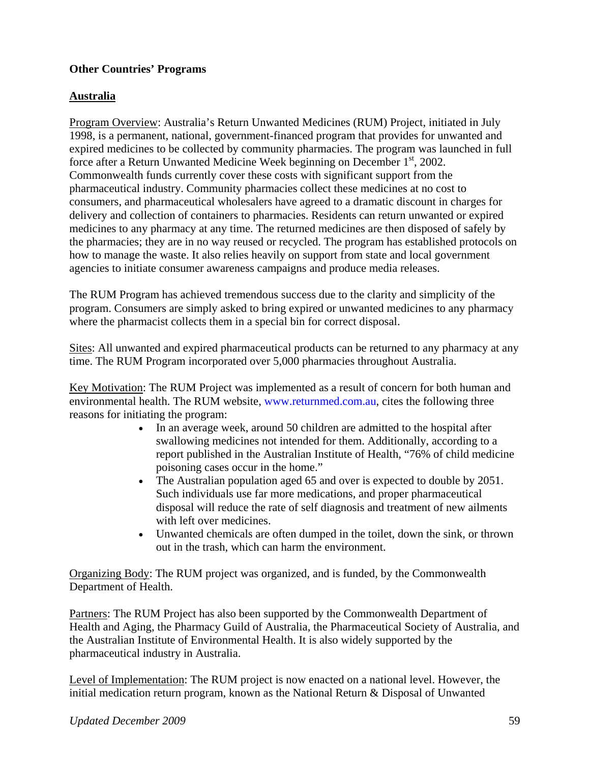### **Other Countries' Programs**

### **Australia**

Program Overview: Australia's Return Unwanted Medicines (RUM) Project, initiated in July 1998, is a permanent, national, government-financed program that provides for unwanted and expired medicines to be collected by community pharmacies. The program was launched in full force after a Return Unwanted Medicine Week beginning on December  $1<sup>st</sup>$ , 2002. Commonwealth funds currently cover these costs with significant support from the pharmaceutical industry. Community pharmacies collect these medicines at no cost to consumers, and pharmaceutical wholesalers have agreed to a dramatic discount in charges for delivery and collection of containers to pharmacies. Residents can return unwanted or expired medicines to any pharmacy at any time. The returned medicines are then disposed of safely by the pharmacies; they are in no way reused or recycled. The program has established protocols on how to manage the waste. It also relies heavily on support from state and local government agencies to initiate consumer awareness campaigns and produce media releases.

The RUM Program has achieved tremendous success due to the clarity and simplicity of the program. Consumers are simply asked to bring expired or unwanted medicines to any pharmacy where the pharmacist collects them in a special bin for correct disposal.

Sites: All unwanted and expired pharmaceutical products can be returned to any pharmacy at any time. The RUM Program incorporated over 5,000 pharmacies throughout Australia.

Key Motivation: The RUM Project was implemented as a result of concern for both human and environmental health. The RUM website, www.returnmed.com.au, cites the following three reasons for initiating the program:

- In an average week, around 50 children are admitted to the hospital after swallowing medicines not intended for them. Additionally, according to a report published in the Australian Institute of Health, "76% of child medicine poisoning cases occur in the home."
- The Australian population aged 65 and over is expected to double by 2051. Such individuals use far more medications, and proper pharmaceutical disposal will reduce the rate of self diagnosis and treatment of new ailments with left over medicines.
- Unwanted chemicals are often dumped in the toilet, down the sink, or thrown out in the trash, which can harm the environment.

Organizing Body: The RUM project was organized, and is funded, by the Commonwealth Department of Health.

Partners: The RUM Project has also been supported by the Commonwealth Department of Health and Aging, the Pharmacy Guild of Australia, the Pharmaceutical Society of Australia, and the Australian Institute of Environmental Health. It is also widely supported by the pharmaceutical industry in Australia.

Level of Implementation: The RUM project is now enacted on a national level. However, the initial medication return program, known as the National Return & Disposal of Unwanted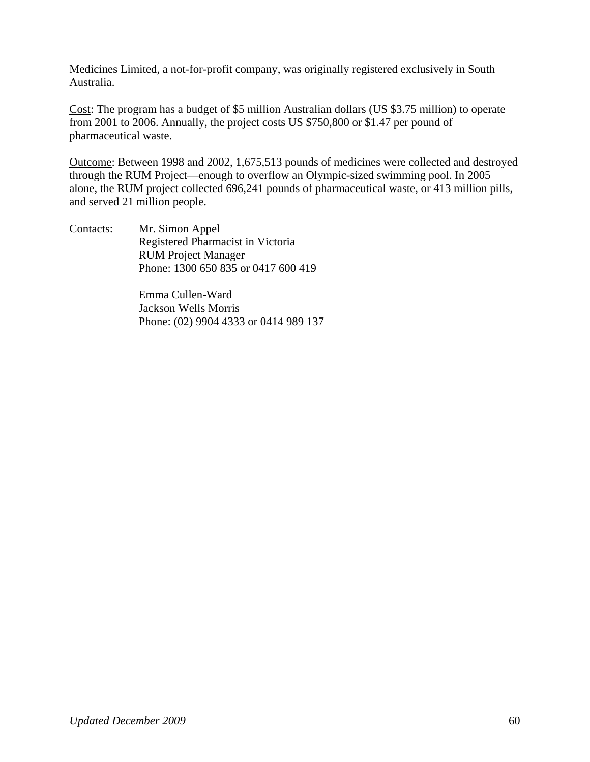Medicines Limited, a not-for-profit company, was originally registered exclusively in South Australia.

Cost: The program has a budget of \$5 million Australian dollars (US \$3.75 million) to operate from 2001 to 2006. Annually, the project costs US \$750,800 or \$1.47 per pound of pharmaceutical waste.

Outcome: Between 1998 and 2002, 1,675,513 pounds of medicines were collected and destroyed through the RUM Project—enough to overflow an Olympic-sized swimming pool. In 2005 alone, the RUM project collected 696,241 pounds of pharmaceutical waste, or 413 million pills, and served 21 million people.

Contacts: Mr. Simon Appel Registered Pharmacist in Victoria RUM Project Manager Phone: 1300 650 835 or 0417 600 419

> Emma Cullen-Ward Jackson Wells Morris Phone: (02) 9904 4333 or 0414 989 137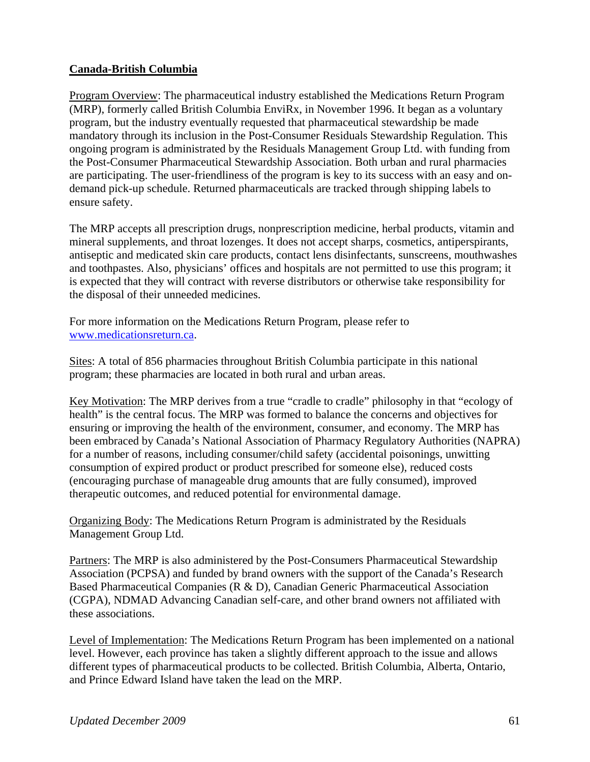### **Canada-British Columbia**

Program Overview: The pharmaceutical industry established the Medications Return Program (MRP), formerly called British Columbia EnviRx, in November 1996. It began as a voluntary program, but the industry eventually requested that pharmaceutical stewardship be made mandatory through its inclusion in the Post-Consumer Residuals Stewardship Regulation. This ongoing program is administrated by the Residuals Management Group Ltd. with funding from the Post-Consumer Pharmaceutical Stewardship Association. Both urban and rural pharmacies are participating. The user-friendliness of the program is key to its success with an easy and ondemand pick-up schedule. Returned pharmaceuticals are tracked through shipping labels to ensure safety.

The MRP accepts all prescription drugs, nonprescription medicine, herbal products, vitamin and mineral supplements, and throat lozenges. It does not accept sharps, cosmetics, antiperspirants, antiseptic and medicated skin care products, contact lens disinfectants, sunscreens, mouthwashes and toothpastes. Also, physicians' offices and hospitals are not permitted to use this program; it is expected that they will contract with reverse distributors or otherwise take responsibility for the disposal of their unneeded medicines.

For more information on the Medications Return Program, please refer to www.medicationsreturn.ca.

Sites: A total of 856 pharmacies throughout British Columbia participate in this national program; these pharmacies are located in both rural and urban areas.

Key Motivation: The MRP derives from a true "cradle to cradle" philosophy in that "ecology of health" is the central focus. The MRP was formed to balance the concerns and objectives for ensuring or improving the health of the environment, consumer, and economy. The MRP has been embraced by Canada's National Association of Pharmacy Regulatory Authorities (NAPRA) for a number of reasons, including consumer/child safety (accidental poisonings, unwitting consumption of expired product or product prescribed for someone else), reduced costs (encouraging purchase of manageable drug amounts that are fully consumed), improved therapeutic outcomes, and reduced potential for environmental damage.

Organizing Body: The Medications Return Program is administrated by the Residuals Management Group Ltd.

Partners: The MRP is also administered by the Post-Consumers Pharmaceutical Stewardship Association (PCPSA) and funded by brand owners with the support of the Canada's Research Based Pharmaceutical Companies (R & D), Canadian Generic Pharmaceutical Association (CGPA), NDMAD Advancing Canadian self-care, and other brand owners not affiliated with these associations.

Level of Implementation: The Medications Return Program has been implemented on a national level. However, each province has taken a slightly different approach to the issue and allows different types of pharmaceutical products to be collected. British Columbia, Alberta, Ontario, and Prince Edward Island have taken the lead on the MRP.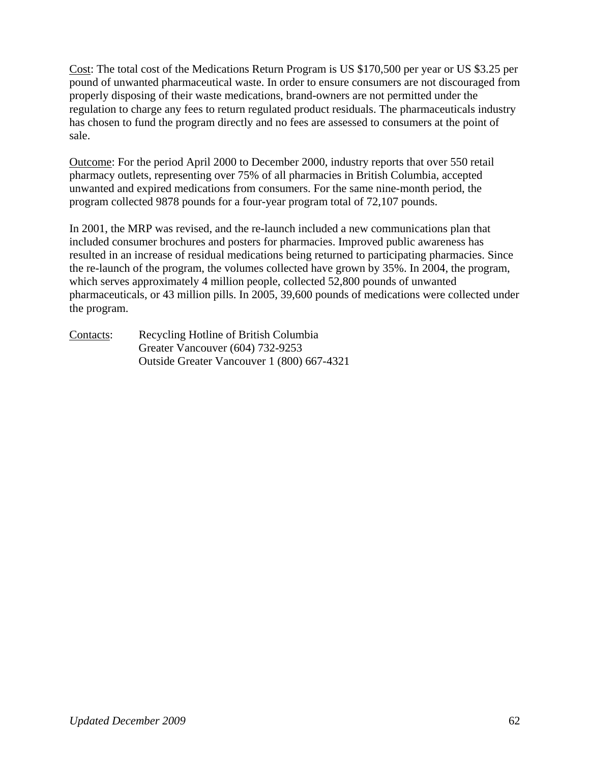Cost: The total cost of the Medications Return Program is US \$170,500 per year or US \$3.25 per pound of unwanted pharmaceutical waste. In order to ensure consumers are not discouraged from properly disposing of their waste medications, brand-owners are not permitted under the regulation to charge any fees to return regulated product residuals. The pharmaceuticals industry has chosen to fund the program directly and no fees are assessed to consumers at the point of sale.

Outcome: For the period April 2000 to December 2000, industry reports that over 550 retail pharmacy outlets, representing over 75% of all pharmacies in British Columbia, accepted unwanted and expired medications from consumers. For the same nine-month period, the program collected 9878 pounds for a four-year program total of 72,107 pounds.

In 2001, the MRP was revised, and the re-launch included a new communications plan that included consumer brochures and posters for pharmacies. Improved public awareness has resulted in an increase of residual medications being returned to participating pharmacies. Since the re-launch of the program, the volumes collected have grown by 35%. In 2004, the program, which serves approximately 4 million people, collected 52,800 pounds of unwanted pharmaceuticals, or 43 million pills. In 2005, 39,600 pounds of medications were collected under the program.

Contacts: Recycling Hotline of British Columbia Greater Vancouver (604) 732-9253 Outside Greater Vancouver 1 (800) 667-4321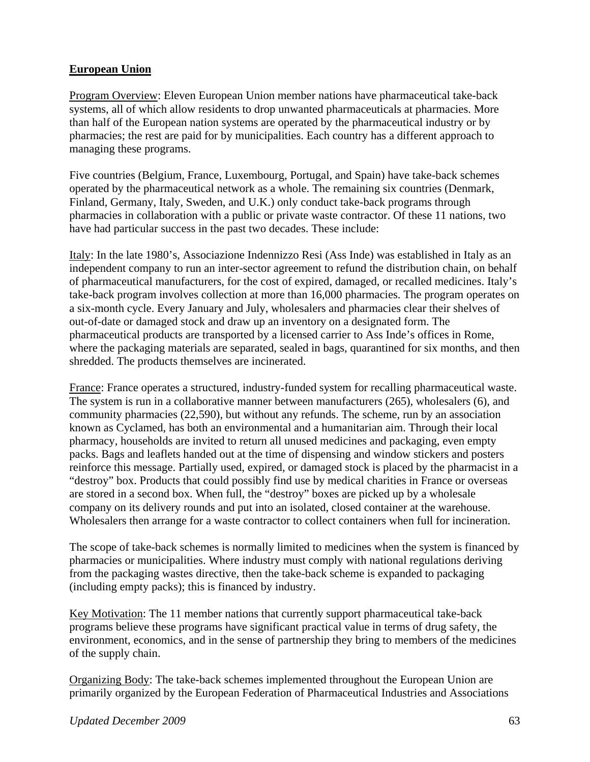### **European Union**

Program Overview: Eleven European Union member nations have pharmaceutical take-back systems, all of which allow residents to drop unwanted pharmaceuticals at pharmacies. More than half of the European nation systems are operated by the pharmaceutical industry or by pharmacies; the rest are paid for by municipalities. Each country has a different approach to managing these programs.

Five countries (Belgium, France, Luxembourg, Portugal, and Spain) have take-back schemes operated by the pharmaceutical network as a whole. The remaining six countries (Denmark, Finland, Germany, Italy, Sweden, and U.K.) only conduct take-back programs through pharmacies in collaboration with a public or private waste contractor. Of these 11 nations, two have had particular success in the past two decades. These include:

Italy: In the late 1980's, Associazione Indennizzo Resi (Ass Inde) was established in Italy as an independent company to run an inter-sector agreement to refund the distribution chain, on behalf of pharmaceutical manufacturers, for the cost of expired, damaged, or recalled medicines. Italy's take-back program involves collection at more than 16,000 pharmacies. The program operates on a six-month cycle. Every January and July, wholesalers and pharmacies clear their shelves of out-of-date or damaged stock and draw up an inventory on a designated form. The pharmaceutical products are transported by a licensed carrier to Ass Inde's offices in Rome, where the packaging materials are separated, sealed in bags, quarantined for six months, and then shredded. The products themselves are incinerated.

France: France operates a structured, industry-funded system for recalling pharmaceutical waste. The system is run in a collaborative manner between manufacturers (265), wholesalers (6), and community pharmacies (22,590), but without any refunds. The scheme, run by an association known as Cyclamed, has both an environmental and a humanitarian aim. Through their local pharmacy, households are invited to return all unused medicines and packaging, even empty packs. Bags and leaflets handed out at the time of dispensing and window stickers and posters reinforce this message. Partially used, expired, or damaged stock is placed by the pharmacist in a "destroy" box. Products that could possibly find use by medical charities in France or overseas are stored in a second box. When full, the "destroy" boxes are picked up by a wholesale company on its delivery rounds and put into an isolated, closed container at the warehouse. Wholesalers then arrange for a waste contractor to collect containers when full for incineration.

The scope of take-back schemes is normally limited to medicines when the system is financed by pharmacies or municipalities. Where industry must comply with national regulations deriving from the packaging wastes directive, then the take-back scheme is expanded to packaging (including empty packs); this is financed by industry.

Key Motivation: The 11 member nations that currently support pharmaceutical take-back programs believe these programs have significant practical value in terms of drug safety, the environment, economics, and in the sense of partnership they bring to members of the medicines of the supply chain.

Organizing Body: The take-back schemes implemented throughout the European Union are primarily organized by the European Federation of Pharmaceutical Industries and Associations